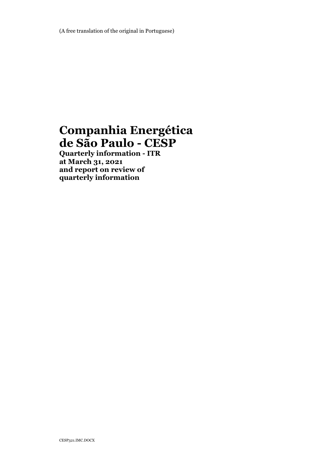# **Companhia Energética de São Paulo - CESP**

**Quarterly information - ITR at March 31, 2021 and report on review of quarterly information**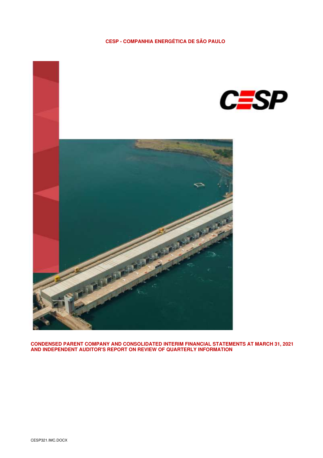### **CESP - COMPANHIA ENERGÉTICA DE SÃO PAULO**



**CONDENSED PARENT COMPANY AND CONSOLIDATED INTERIM FINANCIAL STATEMENTS AT MARCH 31, 2021 AND INDEPENDENT AUDITOR'S REPORT ON REVIEW OF QUARTERLY INFORMATION**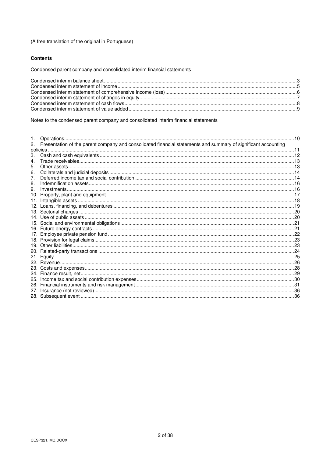### (A free translation of the original in Portuguese)

#### **Contents**

Condensed parent company and consolidated interim financial statements

Notes to the condensed parent company and consolidated interim financial statements

| 2.  | Presentation of the parent company and consolidated financial statements and summary of significant accounting |  |
|-----|----------------------------------------------------------------------------------------------------------------|--|
|     |                                                                                                                |  |
| 3.  |                                                                                                                |  |
| 4.  |                                                                                                                |  |
| 5.  |                                                                                                                |  |
| 6.  |                                                                                                                |  |
| 7.  |                                                                                                                |  |
| 8.  |                                                                                                                |  |
| 9.  |                                                                                                                |  |
| 10. |                                                                                                                |  |
| 11. |                                                                                                                |  |
|     |                                                                                                                |  |
|     |                                                                                                                |  |
|     |                                                                                                                |  |
|     |                                                                                                                |  |
|     |                                                                                                                |  |
| 17. |                                                                                                                |  |
|     |                                                                                                                |  |
|     |                                                                                                                |  |
| 20. |                                                                                                                |  |
|     |                                                                                                                |  |
|     |                                                                                                                |  |
|     |                                                                                                                |  |
|     |                                                                                                                |  |
|     |                                                                                                                |  |
|     |                                                                                                                |  |
| 27. |                                                                                                                |  |
|     |                                                                                                                |  |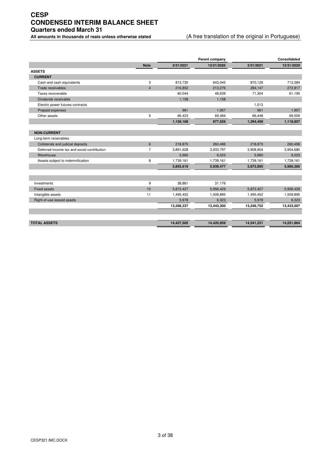# **CESP CONDENSED INTERIM BALANCE SHEET Quarters ended March 31**

### **All amounts in thousands of reais unless otherwise stated** (A free translation of the original in Portuguese)

|                                             |                |            | Parent company |            | Consolidated |
|---------------------------------------------|----------------|------------|----------------|------------|--------------|
|                                             | <b>Note</b>    | 3/31/2021  | 12/31/2020     | 3/31/2021  | 12/31/2020   |
| <b>ASSETS</b>                               |                |            |                |            |              |
| <b>CURRENT</b>                              |                |            |                |            |              |
| Cash and cash equivalents                   | 3              | 813,730    | 643,045        | 870,126    | 713,384      |
| Trade receivables                           | $\overline{4}$ | 216.852    | 213,276        | 284,147    | 272,817      |
| Taxes recoverable                           |                | 60,044     | 48,639         | 71,304     | 61,190       |
| Dividends receivable                        |                | 1,158      | 1,158          |            |              |
| Electric power futures contracts            |                |            |                | 1.513      |              |
| Prepaid expenses                            |                | 961        | 1,957          | 961        | 1,957        |
| Other assets                                | 5              | 66,423     | 69,484         | 66,448     | 69,509       |
|                                             |                | 1,159,168  | 977,559        | 1,294,499  | 1,118,857    |
|                                             |                |            |                |            |              |
| <b>NON-CURRENT</b>                          |                |            |                |            |              |
| Long-term receivables                       |                |            |                |            |              |
| Collaterals and judicial deposits           | $6\phantom{a}$ | 218,870    | 260,496        | 218,870    | 260,496      |
| Deferred income tax and social contribution | $\overline{7}$ | 3,891,628  | 3,933,797      | 3,908,904  | 3,954,680    |
| Warehouse                                   |                | 5,960      | 6,023          | 5,960      | 6,023        |
| Assets subject to indemnification           | 8              | 1,739,161  | 1,739,161      | 1,739,161  | 1,739,161    |
|                                             |                | 5,855,619  | 5,939,477      | 5,872,895  | 5,960,360    |
|                                             |                |            |                |            |              |
|                                             |                |            |                |            |              |
| Investments                                 | 9              | 38,861     | 31,176         |            |              |
| <b>Fixed assets</b>                         | 10             | 5,872,427  | 5,956,429      | 5,872,427  | 5,956,429    |
| Intangible assets                           | 11             | 1,495,452  | 1,509,895      | 1,495,452  | 1,509,895    |
| Right-of-use leased assets                  |                | 5,978      | 6,323          | 5,978      | 6,323        |
|                                             |                | 13,268,337 | 13,443,300     | 13,246,752 | 13,433,007   |
|                                             |                |            |                |            |              |
|                                             |                |            |                |            |              |
| <b>TOTAL ASSETS</b>                         |                | 14,427,505 | 14,420,859     | 14,541,251 | 14,551,864   |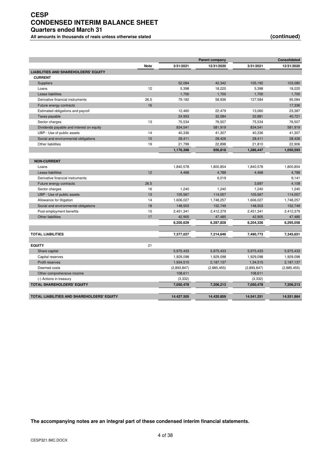# **CESP CONDENSED INTERIM BALANCE SHEET Quarters ended March 31**

All amounts in thousands of reais unless otherwise stated *(continued)* (in the state of the state of the state of the state of the state of the state of the state of the state of the state of the state of the state of t

|                                                   |      |             | <b>Parent company</b> | <b>Consolidated</b> |             |  |
|---------------------------------------------------|------|-------------|-----------------------|---------------------|-------------|--|
|                                                   | Note | 3/31/2021   | 12/31/2020            | 3/31/2021           | 12/31/2020  |  |
| <b>LIABILITIES AND SHAREHOLDERS' EQUITY</b>       |      |             |                       |                     |             |  |
| <b>CURRENT</b>                                    |      |             |                       |                     |             |  |
| <b>Suppliers</b>                                  |      | 52,084      | 42,342                | 105,192             | 103,080     |  |
| Loans                                             | 12   | 5,398       | 18,220                | 5,398               | 18,220      |  |
| Lease liabilities                                 |      | 1,700       | 1,700                 | 1,700               | 1,700       |  |
| Derivative financial instruments                  | 26.5 | 79,182      | 58,936                | 127,584             | 95,084      |  |
| Future energy contracts                           | 16   |             |                       |                     | 17,336      |  |
| Estimated obligations and payroll                 |      | 12,460      | 22,479                | 13,060              | 23,387      |  |
| Taxes payable                                     |      | 24,953      | 32,084                | 32,881              | 40,721      |  |
| Sector charges                                    | 13   | 75,534      | 76,507                | 75,534              | 76,507      |  |
| Dividends payable and interest on equity          |      | 834,541     | 581,919               | 834,541             | 581,919     |  |
| UBP - Use of public assets                        | 14   | 40,336      | 41,307                | 40,336              | 41,307      |  |
| Social and environmental obligations              | 15   | 28,411      | 28,426                | 28,411              | 28,426      |  |
| <b>Other liabilities</b>                          | 19   | 21,799      | 22,898                | 21,810              | 22,906      |  |
|                                                   |      | 1,176,398   | 926,818               | 1,286,447           | 1,050,593   |  |
|                                                   |      |             |                       |                     |             |  |
| <b>NON-CURRENT</b>                                |      |             |                       |                     |             |  |
| Loans                                             |      | 1,840,578   | 1,800,854             | 1,840,578           | 1.800.854   |  |
| Lease liabilities                                 | 12   | 4.468       | 4.788                 | 4.468               | 4,788       |  |
| Derivative financial instruments                  |      |             | 6,019                 |                     | 9,141       |  |
| Future energy contracts                           | 26.5 |             |                       | 3,697               | 4,108       |  |
| Sector charges                                    | 16   | 1,240       | 1,240                 | 1,240               | 1,240       |  |
| UBP - Use of public assets                        | 13   | 105,567     | 114,057               | 105,567             | 114,057     |  |
| Allowance for litigation                          | 14   | 1,606,027   | 1,748,257             | 1,606,027           | 1,748,257   |  |
| Social and environmental obligations              | 18   | 148,503     | 152,749               | 148,503             | 152,749     |  |
| Post-employment benefits                          | 15   | 2,451,341   | 2,412,379             | 2,451,341           | 2,412,379   |  |
| <b>Other liabilities</b>                          | 17   | 42,905      | 47,485                | 42,905              | 47,485      |  |
|                                                   |      | 6,200,629   | 6,287,828             | 6,204,326           | 6,295,058   |  |
|                                                   |      |             |                       |                     |             |  |
| <b>TOTAL LIABILITIES</b>                          |      | 7,377,027   | 7,214,646             | 7,490,773           | 7,345,651   |  |
|                                                   |      |             |                       |                     |             |  |
| <b>EQUITY</b>                                     | 21   |             |                       |                     |             |  |
| Share capital                                     |      | 5,975,433   | 5,975,433             | 5,975,433           | 5,975,433   |  |
| Capital reserves                                  |      | 1,929,098   | 1,929,098             | 1,929,098           | 1,929,098   |  |
| Profit reserves                                   |      | 1,934,515   | 2,187,137             | 1,34,515            | 2,187,137   |  |
| Deemed costs                                      |      | (2,893,847) | (2,885,455)           | (2,893,847)         | (2,885,455) |  |
| Other comprehensive income                        |      | 108,611     |                       | 108,611             |             |  |
| (-) Actions in treasury                           |      | (3, 332)    |                       | (3, 332)            |             |  |
| <b>TOTAL SHAREHOLDERS' EQUITY</b>                 |      | 7,050,478   | 7,206,213             | 7,050,478           | 7,206,213   |  |
|                                                   |      |             |                       |                     |             |  |
| <b>TOTAL LIABILITIES AND SHAREHOLDERS' EQUITY</b> |      | 14.427.505  | 14.420.859            | 14.541.251          | 14.551.864  |  |
|                                                   |      |             |                       |                     |             |  |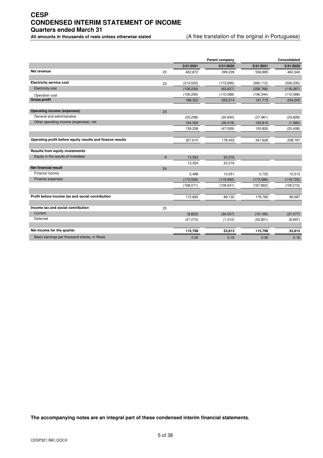# **CESP CONDENSED INTERIM STATEMENT OF INCOME Quarters ended March 31**

**All amounts in thousands of reais unless otherwise stated** (A free translation of the original in Portuguese)

|                                                            |                  | Parent company |            | Consolidated |
|------------------------------------------------------------|------------------|----------------|------------|--------------|
|                                                            | 3/31/2021        | 3/31/2020      | 3/31/2021  | 3/31/2020    |
| Net revenue                                                | 22<br>402.872    | 399.209        | 556.885    | 460,540      |
|                                                            |                  |                |            |              |
| <b>Electricity service cost</b>                            | (214, 520)<br>23 | (173, 695)     | (365, 112) | (226, 335)   |
| <b>Electricity cost</b>                                    | (108, 230)       | (63, 627)      | (258, 768) | (116, 267)   |
| Operation cost                                             | (106, 290)       | (110,068)      | (106, 344) | (110,068)    |
| <b>Gross profit</b>                                        | 188,352          | 225,514        | 191,773    | 234,205      |
| <b>Operating income (expenses)</b>                         | 23               |                |            |              |
| General and administrative                                 | (25, 298)        | (20, 640)      | (27, 961)  | (23, 828)    |
| Other operating income (expenses), net                     | 164,556          | (26, 419)      | 183,816    | (1,580)      |
|                                                            | 139,258          | (47,059)       | 155,855    | (25, 408)    |
| Operating profit before equity results and finance results |                  |                |            |              |
|                                                            | 327,610          | 178,455        | 347,628    | 208,797      |
| <b>Results from equity investments</b>                     |                  |                |            |              |
| Equity in the results of investees                         | 9<br>13,354      | 20,316         |            |              |
|                                                            | 13,354           | 20,316         |            |              |
| <b>Net financial result</b>                                | 24               |                |            |              |
| Finance income                                             | 5,488            | 10,051         | 5,725      | 10,513       |
| Finance expenses                                           | (173, 559)       | (119, 692)     | (173, 588) | (119, 723)   |
|                                                            | (168, 071)       | (109, 641)     | (167, 863) | (109, 210)   |
| Profit before income tax and social contribution           | 172,893          | 89,130         | 179,765    | 99,587       |
|                                                            |                  |                |            |              |
| Income tax and social contribution                         | 25               |                |            |              |
| Current                                                    | (9,822)          | (34,007)       | (10, 166)  | (37,077)     |
| Deferred                                                   | (47, 273)        | (1,310)        | (53, 801)  | (8,697)      |
| Net income for the quarter                                 | 115,798          | 53,813         | 115,798    | 53,813       |
| Basic earnings per thousand shares, in Reais               | 0.35             | 0.16           | 0.35       | 0.16         |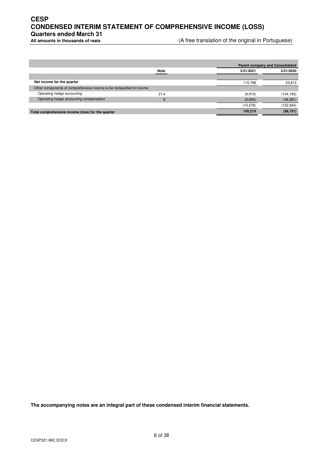# **CESP CONDENSED INTERIM STATEMENT OF COMPREHENSIVE INCOME (LOSS) Quarters ended March 31**

(A free translation of the original in Portuguese)

|                                                                       |             |           | <b>Parent company and Consolidated</b> |
|-----------------------------------------------------------------------|-------------|-----------|----------------------------------------|
|                                                                       | <b>Note</b> | 3/31/2021 | 3/31/2020                              |
|                                                                       |             |           |                                        |
| Net income for the quarter                                            |             | 115.798   | 53,813                                 |
| Other components of comprehensive income to be reclassified to income |             |           |                                        |
| Operating hedge accounting                                            | 21.4        | (9,910)   | (104, 183)                             |
| Operating hedge accounting compensation                               | 9           | (5,669)   | (48, 381)                              |
|                                                                       |             | (15.579)  | (152, 564)                             |
| Total comprehensive income (loss) for the quarter                     |             | 100.219   | (98, 751)                              |
|                                                                       |             |           |                                        |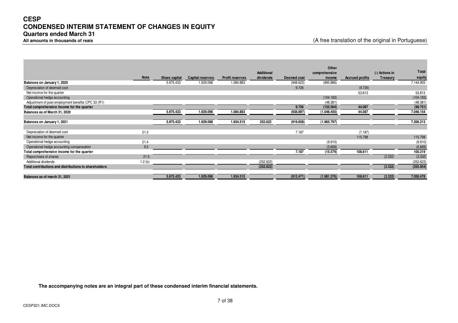# **CESP CONDENSED INTERIM STATEMENT OF CHANGES IN EQUITY Quarters ended March 31**

**All amounts in thousands of reais** (A free translation of the original in Portuguese)

|                                                       |             |               |                         |                        | <b>Additional</b> |             | Other<br>comprehensive |                        | (-) Actions in | Total     |
|-------------------------------------------------------|-------------|---------------|-------------------------|------------------------|-------------------|-------------|------------------------|------------------------|----------------|-----------|
|                                                       | <b>Note</b> | Share capital | <b>Capital reserves</b> | <b>Profit reserves</b> | dividends         | Deemed cost | income                 | <b>Accrued profits</b> | Treasury       | equity    |
| Balances on January 1, 2020                           |             | 5.975.433     | 1.929.098               | 1.084.883              |                   | (948.623)   | (895.886)              |                        |                | 7.144.905 |
| Depreciation of deemed cost                           |             |               |                         |                        |                   | 9.726       |                        | (9.726)                |                |           |
| Net income for the quarter                            |             |               |                         |                        |                   |             |                        | 53.813                 |                | 53.813    |
| Operational hedge accounting                          |             |               |                         |                        |                   |             | (104.183)              |                        |                | (104.183) |
| Adjustment of post-employment benefits CPC 33 (R1)    |             |               |                         |                        |                   |             | (48.381)               |                        |                | (48.381)  |
| Total comprehensive income for the quarter            |             |               |                         |                        |                   | 9.726       | (152.564)              | 44.087                 |                | (98.751)  |
| Balances as of March 31, 2020                         |             | 5.975.433     | 1.929.098               | 1.084.883              |                   | (938.897)   | (1.048.450)            | 44.087                 |                | 7.046.154 |
|                                                       |             |               |                         |                        |                   |             |                        |                        |                |           |
| Balances on January 1, 2021                           |             | 5.975.433     | 1.929.098               | 1.934.515              | 252.622           | (919.658)   | (1.965.797)            |                        |                | 7.206.213 |
|                                                       |             |               |                         |                        |                   |             |                        |                        |                |           |
| Depreciation of deemed cost                           | 21.3        |               |                         |                        |                   | 7.187       |                        | (7.187)                |                |           |
| Net income for the quarter                            |             |               |                         |                        |                   |             |                        | 115.798                |                | 115.798   |
| Operational hedge accounting                          | 21.4        |               |                         |                        |                   |             | (9.910)                |                        |                | (9.910)   |
| Operational hedge accounting compensation             | 9.2         |               |                         |                        |                   |             | (5.669)                |                        |                | (5.669)   |
| Total comprehensive income for the quarter            |             |               |                         |                        |                   | 7.187       | (15.579)               | 108.611                |                | 100.219   |
| Repurchase of shares                                  | 21.5        |               |                         |                        |                   |             |                        |                        | (3.332)        | (3.332)   |
| Additional dividends                                  | 1.2(b)      |               |                         |                        | (252.622)         |             |                        |                        |                | (252.622) |
| Total contributions and distributions to shareholders |             |               |                         |                        | (252.622)         |             |                        |                        | (3.332)        | (255.954) |
|                                                       |             |               |                         |                        |                   |             |                        |                        |                |           |
| Balances as of march 31, 2021                         |             | 5.975.433     | 1.929.098               | 1.934.515              |                   | (912.471)   | (1.981.376)            | 108.611                | (3.332)        | 7.050.478 |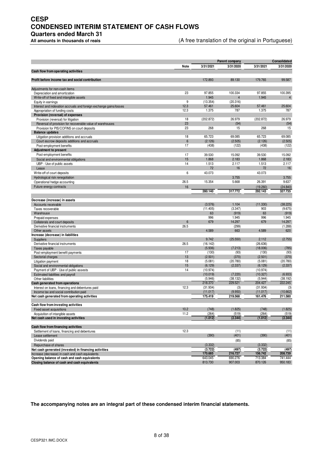# **CESP CONDENSED INTERIM STATEMENT OF CASH FLOWS**

**Quarters ended March 31** 

(A free translation of the original in Portuguese)

|                                                                                             | Parent company  |                      |                |                      | Consolidated        |
|---------------------------------------------------------------------------------------------|-----------------|----------------------|----------------|----------------------|---------------------|
|                                                                                             | Note            | 3/31/2021            | 3/31/2020      | 3/31/2021            | 3/31/2020           |
| Cash flow from operating activities                                                         |                 |                      |                |                      |                     |
| Profit before income tax and social contribution                                            |                 | 172.893              | 89.130         | 179.765              | 99.587              |
|                                                                                             |                 |                      |                |                      |                     |
| Adjustments for non-cash items                                                              |                 |                      |                |                      |                     |
| Depreciation and amortization                                                               | 23              | 97.855               | 100.334        | 97.855               | 100.395             |
| Write-off of fixed and intangible assets                                                    |                 | 1.945                | $\overline{4}$ | 1.945                | $\overline{4}$      |
| Equity in earnings                                                                          | 9               | (13.354)             | (20.316)       |                      |                     |
| Interest and indexation accruals and foreign exchange gains/losses                          | 12.3            | 57.461               | 25.604         | 57.461               | 25.604              |
| Appropriation of funding costs<br>Provision (reversal) of expenses                          | 12.3            | 1.375                | 787            | 1.375                | 787                 |
| Provision (reversal) for litigation                                                         | 18              | (202.872)            | 26.979         | (202.872)            | 26.979              |
| Reversal of provision for recoverable value of warehouses                                   | 23              |                      | (54)           |                      | (54)                |
| Provision for PIS/COFINS on court deposits                                                  | 23              | 268                  | 15             | 268                  | 15                  |
| <b>Balance updates</b>                                                                      |                 |                      |                |                      |                     |
| Litigation provision additions and accruals                                                 | 18              | 65.723               | 69.085         | 65.723               | 69.085              |
| Court escrow deposits additions and accruals                                                | $6\phantom{1}6$ | (2.126)              | (2.505)        | (2.126)              | (2.505)             |
| Post-employment benefits                                                                    | 17              | (438)                | (122)          | (438)                | (122)               |
| <b>Adjustment to present</b>                                                                |                 |                      |                |                      |                     |
| Post-employment benefits                                                                    | 17              | 39.530               | 15.092         | 39.530               | 15.092              |
| Social and environmental obligations                                                        | 15              | 1.868                | 2.183          | 1.868                | 2.183               |
| UBP - Use of public assets                                                                  | 14              | 1.513                | 2.117          | 1.513                | 2.117               |
| Lease                                                                                       |                 | 72                   | 16             | 72                   | 16                  |
| Write-off of court deposits                                                                 | 6               | 43.073               |                | 43.073               |                     |
| Hydrological risk renegotiation<br>Operational hedge accounting                             | 26.5            | 15.354               | 3.755<br>5.668 | 26.391               | 3.755<br>9.637      |
| Future energy contracts                                                                     | 16              |                      |                |                      |                     |
|                                                                                             |                 | 280.140              | 317.772        | (19.260)<br>292.143  | (24.840)<br>327.735 |
|                                                                                             |                 |                      |                |                      |                     |
| Decrease (increase) in assets                                                               |                 |                      |                |                      |                     |
| Accounts receivable                                                                         |                 | (3.576)              | 1.104          | (11.330)             | (38.225)            |
| Taxes recoverable                                                                           |                 | (11.405)             | (3.347)        | 903                  | (9.675)             |
| Warehouse                                                                                   |                 | 63                   | (919)          | 63                   | (919)               |
| Prepaid expenses                                                                            |                 | 996                  | 1.945          | 996                  | 1.945               |
| Collaterals and court deposits                                                              | 6               | 679                  | 14.297         | 679                  | 14.297              |
| Derivative financial instruments                                                            | 26.5            |                      | (299)          |                      | (1.288)             |
| Other assets                                                                                |                 | 4.589                | 663            | 4.589                | 620                 |
| Increase (decrease) in liabilities<br><b>Suppliers</b>                                      |                 | 9.742                | (25.550)       | 2.112                | (2.755)             |
| Derivative financial instruments                                                            | 26.5            | (16.142)             |                | (26.636)             |                     |
| Taxes payable                                                                               |                 | (5.936)              | (7.213)        | (18.006)             | (785)               |
| Post-employment benefit payments                                                            | 17              | (130)                | (93)           | (130)                | (93)                |
| Sectorial charges                                                                           | 13              | (2.501)              | (370)          | (2.501)              | (370)               |
| Litigation payment                                                                          | 18              | (5.081)              | (20.780)       | (5.081)              | (20.780)            |
| Social and environmental obligations                                                        | 15              | (6.129)              | (2.337)        | (6.129)              | (2.337)             |
| Payment of UBP - Use of public assests                                                      | 14              | (10.974)             |                | (10.974)             |                     |
| Estimated liabilities and payroll                                                           |                 | (10.019)             | (7.220)        | (10.327)             | (6.933)             |
| Other liabilities                                                                           |                 | (5.946)              | (38.132)       | (5.944)              | (38.192)            |
| Cash generated from operations                                                              | 12.3            | 218.370              | 229.521        | 204.427              | 222.245             |
| Interest on loans, financing and debentures paid<br>Income tax and social contribution paid |                 | (31.934)<br>(11.017) | (3)<br>(9.950) | (31.934)<br>(11.017) | (3)<br>(10.662)     |
| Net cash generated from operating activities                                                |                 | 175.419              | 219.568        | 161.476              | 211.580             |
|                                                                                             |                 |                      |                |                      |                     |
| Cash flow from investing activities                                                         |                 |                      |                |                      |                     |
| Fixed asset acquisitions                                                                    | 10.2            | (748)                | (1.825)        | (748)                | (1.825)             |
| Acquisition of intangible assets                                                            | 11.2            | (264)                | (519)          | (264)                | (519)               |
| Net cash used in investing activities                                                       |                 | (1.012)              | (2.344)        | (1.012)              | (2.344)             |
|                                                                                             |                 |                      |                |                      |                     |
| Cash flow from financing activities<br>Settlement of loans, financing and debentures        | 12.3            |                      | (11)           |                      | (11)                |
| Lease settlement                                                                            |                 | (390)                | (401)          | (390)                | (401)               |
| Dividends paid                                                                              |                 |                      | (85)           |                      | (85)                |
| Repurchase of shares                                                                        |                 | (3.332)              |                | (3.332)              |                     |
| Net cash generated (invested) in financing activities                                       |                 | (3.722)              | (497)          | (3.722)              | (497)               |
| Increase (decrease) in cash and cash equivalents                                            |                 | 170.685              | 216.727        | 156.742              | 208.739             |
| Opening balance of cash and cash equivalents                                                |                 | 643.045              | 690.276        | 713.384              | 741.444             |
| Closing balance of cash and cash equivalents                                                |                 | 813.730              | 907.003        | 870.126              | 950.183             |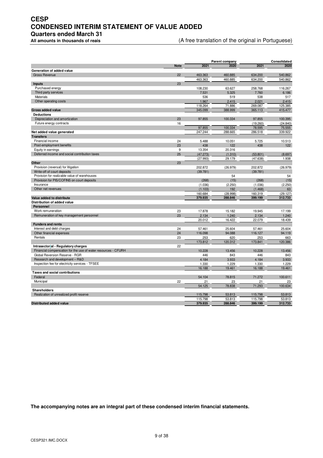# **CESP CONDENSED INTERIM STATEMENT OF VALUE ADDED**

**Quarters ended March 31** 

(A free translation of the original in Portuguese)

|                                                               |             |                      | Parent company    |                      | Consolidated     |  |
|---------------------------------------------------------------|-------------|----------------------|-------------------|----------------------|------------------|--|
|                                                               | <b>Note</b> | 2021                 | 2020              | 2021                 | 2020             |  |
| Generation of added value                                     |             |                      |                   |                      |                  |  |
| <b>Gross Revenue</b>                                          | 22          | 463.363              | 460.885           | 634.200              | 540.862          |  |
|                                                               |             | 463.363              | 460.885           | 634.200              | 540.862          |  |
| <b>Inputs</b>                                                 | 23          |                      |                   |                      |                  |  |
| Purchased energy                                              |             | 108.230              | 63.627            | 258.768              | 116.267          |  |
| Third party services                                          |             | 7.531                | 5.325             | 7.760                | 6.186            |  |
| <b>Materials</b>                                              |             | 536                  | 519               | 538                  | 517              |  |
| Other operating costs                                         |             | 1.967                | 2.415             | 2.021                | 2.415            |  |
|                                                               |             | 118.264              | 71.886            | 269.087              | 125.385          |  |
| <b>Gross added value</b>                                      |             | 345.099              | 388.999           | 365.113              | 415.477          |  |
| <b>Deductions</b>                                             |             |                      |                   |                      |                  |  |
| Depreciation and amortization                                 | 23          | 97.855               | 100.334           | 97.855               | 100.395          |  |
| Future energy contracts                                       | 16          |                      |                   | (19.260)             | (24.840)         |  |
|                                                               |             | 97.855               | 100.334           | 78.595               | 75.555           |  |
| Net added value generated                                     |             | 247.244              | 288.665           | 286.518              | 339.922          |  |
| <b>Transfers</b>                                              |             |                      |                   |                      |                  |  |
| Financial income                                              | 24          | 5.488                | 10.051            | 5.725                | 10.513<br>122    |  |
| Post-employment benefits                                      | 23          | 438                  | 122               | 438                  |                  |  |
| Equity in earnings                                            | 9<br>25     | 13.354               | 20.316            |                      |                  |  |
| Deferred income and social contribution taxes                 |             | (47.273)<br>(27.993) | (1.310)<br>29.179 | (53.801)<br>(47.638) | (8.697)<br>1.938 |  |
| Other                                                         | 23          |                      |                   |                      |                  |  |
| Provision (reversal) for litigation                           |             | 202.872              | (26.979)          | 202.872              | (26.979)         |  |
| Write-off of court deposits                                   |             | (39.781)             |                   | (39.781)             |                  |  |
| Provision for realizable value of warehouses                  |             |                      | 54                |                      | 54               |  |
| Provision for PIS/COFINS on court deposits                    |             | (268)                | (15)              | (268)                | (15)             |  |
| Insurance                                                     |             | (1.036)              | (2.250)           | (1.036)              | (2.250)          |  |
| Other net revenues                                            |             | (1.103)              | 192               | (1.468)              | 63               |  |
|                                                               |             | 160.684              | (28.998)          | 160.319              | (29.127)         |  |
| Value added to distribute                                     |             | 379.935              | 288.846           | 399.199              | 312.733          |  |
| Distribution of added value                                   |             |                      |                   |                      |                  |  |
| Personnel                                                     |             |                      |                   |                      |                  |  |
| Work remuneration                                             | 23          | 17.878               | 15.182            | 19.945               | 17.199           |  |
| Remuneration of key management personnel                      | 23          | 2.134                | 1.240             | 2.134                | 1.240            |  |
|                                                               |             | 20.012               | 16.422            | 22.079               | 18.439           |  |
| <b>Funders and rents</b>                                      |             |                      |                   |                      |                  |  |
| Interest and debt charges                                     | 24          | 57.461               | 25.604            | 57.461               | 25.604           |  |
| Other financial expenses                                      | 24          | 116.098              | 94.088            | 116.127              | 94.119           |  |
| Rentals                                                       | 23          | 253                  | 620               | 253                  | 663              |  |
|                                                               |             | 173.812              | 120.312           | 173.841              | 120.386          |  |
| Intrasectorial - Regulatory charges                           | 22          |                      |                   |                      |                  |  |
| Financial compensation for the use of water resources - CFURH |             | 10.228               | 13.456            | 10.228               | 13.456           |  |
| Global Reversion Reserve - RGR                                |             | 446                  | 843               | 446                  | 843              |  |
| Research and development - R&D                                |             | 4.184                | 3.933             | 4.184                | 3.933            |  |
| Inspection fee for electricity services - TFSEE               |             | 1.330                | 1.229             | 1.330                | 1.229            |  |
|                                                               |             | 16.188               | 19.461            | 16.188               | 19.461           |  |
| <b>Taxes and social contributions</b>                         |             |                      |                   |                      |                  |  |
| Federal                                                       |             | 54.104               | 78.815            | 71.272               | 100.611          |  |
| Municipal                                                     | 22          | 21                   | 23                | 21                   | 23               |  |
|                                                               |             | 54.125               | 78.838            | 71.293               | 100.634          |  |
| <b>Shareholders</b>                                           |             |                      |                   |                      |                  |  |
| Realization of unrealized profit reserve                      |             | 115.798              | 53.813            | 115.798              | 53.813           |  |
|                                                               |             | 115.798              | 53.813            | 115.798              | 53.813           |  |
| <b>Distributed added value</b>                                |             | 379.935              | 288.846           | 399.199              | 312.733          |  |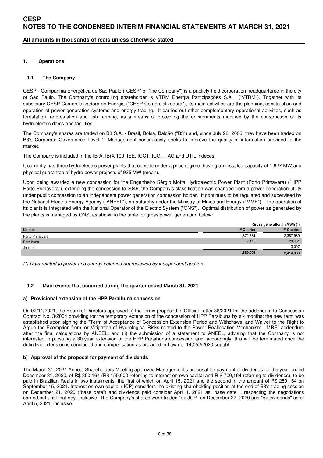### **All amounts in thousands of reais unless otherwise stated**

#### **1. Operations**

#### **1.1 The Company**

CESP - Companhia Energética de São Paulo ("CESP" or "the Company") is a publicly-held corporation headquartered in the city of São Paulo. The Company's controlling shareholder is VTRM Energia Participações S.A. ("VTRM"). Together with its subsidiary CESP Comercializadora de Energia ("CESP Comercializadora"), its main activities are the planning, construction and operation of power generation systems and energy trading. It carries out other complementary operational activities, such as forestation, reforestation and fish farming, as a means of protecting the environments modified by the construction of its hydroelectric dams and facilities.

The Company's shares are traded on B3 S.A. - Brasil, Bolsa, Balcão ("B3") and, since July 28, 2006, they have been traded on B3's Corporate Governance Level 1. Management continuously seeks to improve the quality of information provided to the market.

The Company is included in the IBrA, IBrX 100, IEE, IGCT, ICG, ITAG and UTIL indexes.

It currently has three hydroelectric power plants that operate under a price regime, having an installed capacity of 1,627 MW and physical guarantee of hydro power projects of 935 MW (mean).

Upon being awarded a new concession for the Engenheiro Sérgio Motta Hydroelectric Power Plant (Porto Primavera) ("HPP Porto Primavera"), extending the concession to 2049, the Company's classification was changed from a power generation utility under public concession to an independent power generation concession holder. It continues to be regulated and supervised by the National Electric Energy Agency ("ANEEL"), an autarchy under the Ministry of Mines and Energy ("MME"). The operation of its plants is integrated with the National Operator of the Electric System ("ONS"). Optimal distribution of power as generated by the plants is managed by ONS, as shown in the table for gross power generation below:

|                 | Gross generation in MWh (*) |                         |  |
|-----------------|-----------------------------|-------------------------|--|
| <b>Usinas</b>   | 1 <sup>st</sup> Quarter     | 1 <sup>st</sup> Quarter |  |
| Porto Primavera | 1,872,861                   | 2,387,980               |  |
| Paraibuna       | 7.140                       | 23,401                  |  |
| Jaguari         |                             | 3,007                   |  |
|                 | 1,880,001                   | 2,414,388               |  |

(\*) Data related to power and energy volumes not reviewed by independent auditors

#### **1.2 Main events that occurred during the quarter ended March 31, 2021**

#### **a) Provisional extension of the HPP Paraibuna concession**

On 02/11/2021, the Board of Directors approved (i) the terms proposed in Official Letter 36/2021 for the addendum to Concession Contract No. 3/2004 providing for the temporary extension of the concession of HPP Paraibuna by six months; the new term was established upon signing the "Term of Acceptance of Concession Extension Period and Withdrawal and Waiver to the Right to Argue the Exemption from, or Mitigation of Hydrological Risks related to the Power Reallocation Mechanism - MRE" addendum after the final calculations by ANEEL; and (ii) the submission of a statement to ANEEL, advising that the Company is not interested in pursuing a 30-year extension of the HPP Paraibuna concession and, accordingly, this will be terminated once the definitive extension is concluded and compensation as provided in Law no. 14,052/2020 sought.

#### **b) Approval of the proposal for payment of dividends**

The March 31, 2021 Annual Shareholders Meeting approved Management's proposal for payment of dividends for the year ended December 31, 2020, of R\$ 850,164 (R\$ 150,000 referring to interest on own capital and R \$ 700,164 referring to dividends), to be paid in Brazilian Reais in two instalments, the first of which on April 15, 2021 and the second in the amount of R\$ 250,164 on September 15, 2021. Interest on own capital (JCP) considers the existing shareholding position at the end of B3's trading session on December 21, 2020 ("base date") and dividends paid consider April 1, 2021 as "base date" , respecting the negotiations carried out until that day, inclusive. The Company's shares were traded "ex-JCP" on December 22, 2020 and "ex-dividends" as of April 5, 2021, inclusive.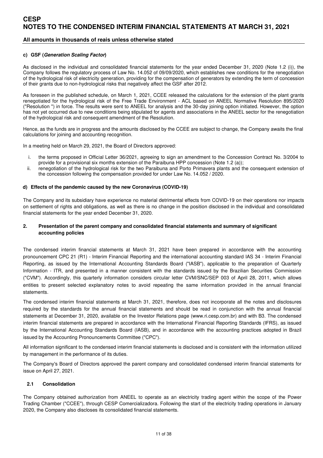### **All amounts in thousands of reais unless otherwise stated**

#### **c) GSF (Generation Scaling Factor)**

As disclosed in the individual and consolidated financial statements for the year ended December 31, 2020 (Note 1.2 (i)), the Company follows the regulatory process of Law No. 14.052 of 09/09/2020, which establishes new conditions for the renegotiation of the hydrological risk of electricity generation, providing for the compensation of generators by extending the term of concession of their grants due to non-hydrological risks that negatively affect the GSF after 2012.

As foreseen in the published schedule, on March 1, 2021, CCEE released the calculations for the extension of the plant grants renegotiated for the hydrological risk of the Free Trade Environment - ACL based on ANEEL Normative Resolution 895/2020 ("Resolution ") in force. The results were sent to ANEEL for analysis and the 30-day joining option initiated. However, the option has not yet occurred due to new conditions being stipulated for agents and associations in the ANEEL sector for the renegotiation of the hydrological risk and consequent amendment of the Resolution.

Hence, as the funds are in progress and the amounts disclosed by the CCEE are subject to change, the Company awaits the final calculations for joining and accounting recognition.

In a meeting held on March 29, 2021, the Board of Directors approved:

- i. the terms proposed in Official Letter 36/2021, agreeing to sign an amendment to the Concession Contract No. 3/2004 to provide for a provisional six months extension of the Paraibuna HPP concession (Note 1.2 (a));
- ii. renegotiation of the hydrological risk for the two Paraibuna and Porto Primavera plants and the consequent extension of the concession following the compensation provided for under Law No. 14.052 / 2020.

#### **d) Effects of the pandemic caused by the new Coronavirus (COVID-19)**

The Company and its subsidiary have experience no material detrimental effects from COVID-19 on their operations nor impacts on settlement of rights and obligations, as well as there is no change in the position disclosed in the individual and consolidated financial statements for the year ended December 31, 2020.

#### **2. Presentation of the parent company and consolidated financial statements and summary of significant accounting policies**

The condensed interim financial statements at March 31, 2021 have been prepared in accordance with the accounting pronouncement CPC 21 (R1) - Interim Financial Reporting and the international accounting standard IAS 34 - Interim Financial Reporting, as issued by the International Accounting Standards Board ("IASB"), applicable to the preparation of Quarterly Information - ITR, and presented in a manner consistent with the standards issued by the Brazilian Securities Commission ("CVM"). Accordingly, this quarterly information considers circular letter CVM/SNC/SEP 003 of April 28, 2011, which allows entities to present selected explanatory notes to avoid repeating the same information provided in the annual financial statements.

The condensed interim financial statements at March 31, 2021, therefore, does not incorporate all the notes and disclosures required by the standards for the annual financial statements and should be read in conjunction with the annual financial statements at December 31, 2020, available on the Investor Relations page (www.ri.cesp.com.br) and with B3. The condensed interim financial statements are prepared in accordance with the International Financial Reporting Standards (IFRS), as issued by the International Accounting Standards Board (IASB), and in accordance with the accounting practices adopted in Brazil issued by the Accounting Pronouncements Committee ("CPC").

All information significant to the condensed interim financial statements is disclosed and is consistent with the information utilized by management in the performance of its duties.

The Company's Board of Directors approved the parent company and consolidated condensed interim financial statements for issue on April 27, 2021.

#### **2.1 Consolidation**

The Company obtained authorization from ANEEL to operate as an electricity trading agent within the scope of the Power Trading Chamber ("CCEE"), through CESP Comercializadora. Following the start of the electricity trading operations in January 2020, the Company also discloses its consolidated financial statements.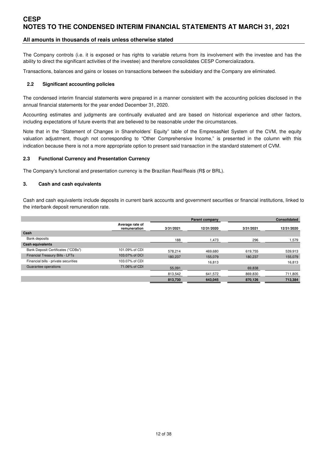### **All amounts in thousands of reais unless otherwise stated**

The Company controls (i.e. it is exposed or has rights to variable returns from its involvement with the investee and has the ability to direct the significant activities of the investee) and therefore consolidates CESP Comercializadora.

Transactions, balances and gains or losses on transactions between the subsidiary and the Company are eliminated.

#### **2.2 Significant accounting policies**

The condensed interim financial statements were prepared in a manner consistent with the accounting policies disclosed in the annual financial statements for the year ended December 31, 2020.

Accounting estimates and judgments are continually evaluated and are based on historical experience and other factors, including expectations of future events that are believed to be reasonable under the circumstances.

Note that in the "Statement of Changes in Shareholders' Equity" table of the EmpresasNet System of the CVM, the equity valuation adjustment, though not corresponding to "Other Comprehensive Income," is presented in the column with this indication because there is not a more appropriate option to present said transaction in the standard statement of CVM.

#### **2.3 Functional Currency and Presentation Currency**

The Company's functional and presentation currency is the Brazilian Real/Reais (R\$ or BRL).

#### **3. Cash and cash equivalents**

Cash and cash equivalents include deposits in current bank accounts and government securities or financial institutions, linked to the interbank deposit remuneration rate.

|                                 |           | <b>Parent company</b> |           | <b>Consolidated</b> |
|---------------------------------|-----------|-----------------------|-----------|---------------------|
| Average rate of<br>remuneration | 3/31/2021 | 12/31/2020            | 3/31/2021 | 12/31/2020          |
|                                 |           |                       |           |                     |
|                                 | 188       | 1,473                 | 296       | 1,579               |
|                                 |           |                       |           |                     |
| 101.09% of CDI                  | 578.214   | 469.680               | 619.755   | 539,913             |
| 103.07% of DCI                  | 180.237   | 155.079               | 180.237   | 155,079             |
| 103.07% of CDI                  |           | 16,813                |           | 16,813              |
| 71.06% of CDI                   | 55,091    |                       | 69,838    |                     |
|                                 | 813,542   | 641,572               | 869,830   | 711,805             |
|                                 | 813,730   | 643,045               | 870,126   | 713,384             |
|                                 |           |                       |           |                     |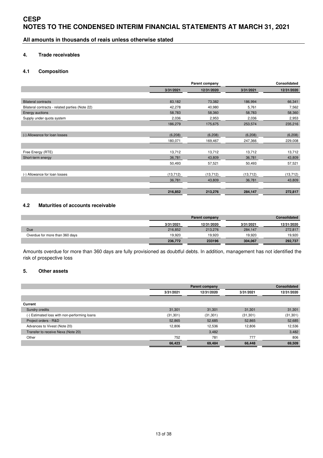**All amounts in thousands of reais unless otherwise stated** 

#### **4. Trade receivables**

#### **4.1 Composition**

|                                                 |           | Parent company |           | Consolidated |
|-------------------------------------------------|-----------|----------------|-----------|--------------|
|                                                 | 3/31/2021 | 12/31/2020     | 3/31/2021 | 12/31/2020   |
|                                                 |           |                |           |              |
| <b>Bilateral contracts</b>                      | 83,182    | 73,382         | 186,994   | 66,341       |
| Bilateral contracts - related parties (Note 22) | 42,278    | 40,980         | 5,761     | 7,562        |
| Energy auctions                                 | 58,783    | 58,360         | 58,783    | 58,360       |
| Supply under quota system                       | 2,036     | 2,953          | 2,036     | 2,953        |
|                                                 | 186,279   | 175,675        | 253,574   | 235,216      |
|                                                 |           |                |           |              |
| (-) Allowance for loan losses                   | (6, 208)  | (6, 208)       | (6, 208)  | (6, 208)     |
|                                                 | 180,071   | 169,467        | 247,366   | 229,008      |
|                                                 |           |                |           |              |
| Free Energy (RTE)                               | 13,712    | 13,712         | 13,712    | 13,712       |
| Short-term energy                               | 36,781    | 43,809         | 36,781    | 43,809       |
|                                                 | 50,493    | 57,521         | 50,493    | 57,521       |
|                                                 |           |                |           |              |
| (-) Allowance for loan losses                   | (13, 712) | (13, 712)      | (13, 712) | (13, 712)    |
|                                                 | 36,781    | 43,809         | 36,781    | 43,809       |
|                                                 |           |                |           |              |
|                                                 | 216,852   | 213,276        | 284,147   | 272,817      |

# **4.2 Maturities of accounts receivable**

|                                |           | Parent company | <b>Consolidated</b> |            |  |
|--------------------------------|-----------|----------------|---------------------|------------|--|
|                                | 3/31/2021 | 12/31/2020     | 3/31/2021           | 12/31/2020 |  |
| Due                            | 216,852   | 213,276        | 284.147             | 272.817    |  |
| Overdue for more than 360 days | 19.920    | 19.920         | 19,920              | 19,920     |  |
|                                | 236,772   | 233196         | 304,067             | 292.737    |  |

Amounts overdue for more than 360 days are fully provisioned as doubtful debts. In addition, management has not identified the risk of prospective loss

### **5. Other assets**

|                                              |                         | Parent company |           | Consolidated |
|----------------------------------------------|-------------------------|----------------|-----------|--------------|
|                                              | 12/31/2020<br>3/31/2021 |                | 3/31/2021 | 12/31/2020   |
|                                              |                         |                |           |              |
| Current                                      |                         |                |           |              |
| Sundry credits                               | 31,301                  | 31,301         | 31,301    | 31,301       |
| (-) Estimated loss with non-performing loans | (31, 301)               | (31, 301)      | (31, 301) | (31, 301)    |
| Project orders - R&D                         | 52,865                  | 52,685         | 52,865    | 52,685       |
| Advances to Vivest (Note 20)                 | 12,806                  | 12,536         | 12,806    | 12,536       |
| Transfer to receive Nexa (Note 20)           |                         | 3,482          |           | 3,482        |
| Other                                        | 752                     | 781            | 777       | 806          |
|                                              | 66,423                  | 69,484         | 66,448    | 69,509       |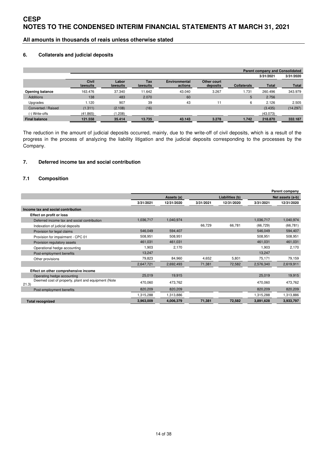**All amounts in thousands of reais unless otherwise stated** 

#### **6. Collaterals and judicial deposits**

|                      |                          |                   |                 |                                 |                         |                    |              | <b>Parent company and Consolidated</b> |
|----------------------|--------------------------|-------------------|-----------------|---------------------------------|-------------------------|--------------------|--------------|----------------------------------------|
|                      |                          |                   |                 |                                 |                         |                    | 3/31/2021    | 3/31/2020                              |
|                      | <b>Civil</b><br>lawsuits | Labor<br>lawsuits | Tax<br>lawsuits | <b>Environmental</b><br>actions | Other court<br>deposits | <b>Collaterals</b> | <b>Total</b> | <b>Total</b>                           |
| Opening balance      | 163.476                  | 37.340            | 11.642          | 43.040                          | 3.267                   | 1.731              | 260.496      | 343.979                                |
| <b>Additions</b>     | 138                      | 483               | 2.070           | 60                              |                         | 5                  | 2.756        |                                        |
| Upgrades             | 1.120                    | 907               | 39              | 43                              | 11                      | 6                  | 2.126        | 2.505                                  |
| Converted / Raised   | (1.311)                  | (2.108)           | (16)            |                                 |                         |                    | (3.435)      | (14.297)                               |
| (-) Write-offs       | (41.865)                 | (1.208)           |                 |                                 |                         |                    | (43.073)     |                                        |
| <b>Final balance</b> | 121.558                  | 35.414            | 13.735          | 43.143                          | 3.278                   | 1.742              | 218,870      | 332.187                                |

The reduction in the amount of judicial deposits occurred, mainly, due to the write-off of civil deposits, which is a result of the progress in the process of analyzing the liability litigation and the judicial deposits corresponding to the processes by the Company.

### **7. Deferred income tax and social contribution**

### **7.1 Composition**

|                                                             |           |            |           |                 |           | Parent company   |
|-------------------------------------------------------------|-----------|------------|-----------|-----------------|-----------|------------------|
|                                                             |           | Assets (a) |           | Liabilities (b) |           | Net assets (a-b) |
|                                                             | 3/31/2021 | 12/31/2020 | 3/31/2021 | 12/31/2020      | 3/31/2021 | 12/31/2020       |
| Income tax and social contribution                          |           |            |           |                 |           |                  |
| Effect on profit or loss                                    |           |            |           |                 |           |                  |
| Deferred income tax and social contribution                 | 1,036,717 | 1,040,974  |           |                 | 1,036,717 | 1,040,974        |
| Indexation of judicial deposits                             |           |            | 66,729    | 66,781          | (66, 729) | (66, 781)        |
| Provision for legal claims                                  | 546,049   | 594,407    |           |                 | 546,049   | 594,407          |
| Provision for impairment - CPC 01                           | 508,951   | 508,951    |           |                 | 508,951   | 508,951          |
| Provision regulatory assets                                 | 461,031   | 461,031    |           |                 | 461,031   | 461,031          |
| Operational hedge accounting                                | 1,903     | 2,170      |           |                 | 1,903     | 2,170            |
| Post-employment benefits                                    | 13,247    |            |           |                 | 13,247    |                  |
| Other provisions                                            | 79,823    | 84,960     | 4,652     | 5,801           | 75,171    | 79,159           |
|                                                             | 2,647,721 | 2,692,493  | 71,381    | 72,582          | 2,576,340 | 2,619,911        |
| Effect on other comprehensive income                        |           |            |           |                 |           |                  |
| Operating hedge accounting                                  | 25,019    | 19,915     |           |                 | 25,019    | 19,915           |
| Deemed cost of property, plant and equipment (Note<br>21.3) | 470,060   | 473,762    |           |                 | 470,060   | 473,762          |
| Post-employment benefits                                    | 820,209   | 820,209    |           |                 | 820,209   | 820,209          |
|                                                             | 1,315,288 | 1,313,886  |           |                 | 1,315,288 | 1,313,886        |
| <b>Total recognized</b>                                     | 3,963,009 | 4,006,379  | 71,381    | 72,582          | 3,891,628 | 3,933,797        |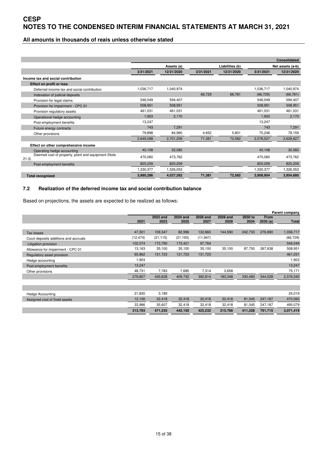### **All amounts in thousands of reais unless otherwise stated**

|                                                            |           |            |           |                 |                  | <b>Consolidated</b> |
|------------------------------------------------------------|-----------|------------|-----------|-----------------|------------------|---------------------|
|                                                            |           | Assets (a) |           | Liabilities (b) | Net assets (a-b) |                     |
|                                                            | 3/31/2021 | 12/31/2020 | 3/31/2021 | 12/31/2020      | 3/31/2021        | 12/31/2020          |
| Income tax and social contribution                         |           |            |           |                 |                  |                     |
| Effect on profit or loss                                   |           |            |           |                 |                  |                     |
| Deferred income tax and social contribution                | 1,036,717 | 1,040,974  |           |                 | 1,036,717        | 1,040,974           |
| Indexation of judicial deposits                            |           |            | 66,729    | 66,781          | (66, 729)        | (66, 781)           |
| Provision for legal claims                                 | 546.049   | 594,407    |           |                 | 546.049          | 594,407             |
| Provision for impairment - CPC 01                          | 508,951   | 508,951    |           |                 | 508,951          | 508,951             |
| Provision regulatory assets                                | 461,031   | 461,031    |           |                 | 461,031          | 461,031             |
| Operational hedge accounting                               | 1.903     | 2,170      |           |                 | 1.903            | 2,170               |
| Post-employment benefits                                   | 13.247    |            |           |                 | 13.247           |                     |
| Future energy contracts                                    | 743       | 7.291      |           |                 | 743              | 7,291               |
| Other provisions                                           | 79,898    | 84,960     | 4.652     | 5,801           | 75,246           | 79,159              |
|                                                            | 2,649,098 | 2,701,209  | 71,381    | 72,582          | 2,578,527        | 2,628,627           |
| Effect on other comprehensive income                       |           |            |           |                 |                  |                     |
| Operating hedge accounting                                 | 40,108    | 32,082     |           |                 | 40,108           | 32,082              |
| Deemed cost of property, plant and equipment (Note<br>21.3 | 470.060   | 473.762    |           |                 | 470,060          | 473,762             |
| Post-employment benefits                                   | 820.209   | 820.209    |           |                 | 820,209          | 820,209             |
|                                                            | 1,330,377 | 1,326,053  |           |                 | 1,330,377        | 1,326,053           |
| <b>Total recognized</b>                                    | 3,980,286 | 4,027,262  | 71,381    | 72,582          | 3.908.904        | 3,954,680           |

# **7.2 Realization of the deferred income tax and social contribution balance**

Based on projections, the assets are expected to be realized as follows:

|                                       |           |                  |                         |                         |                  |                 |                        | Parent company |
|---------------------------------------|-----------|------------------|-------------------------|-------------------------|------------------|-----------------|------------------------|----------------|
|                                       | 2021      | 2022 and<br>2023 | <b>2024 and</b><br>2025 | <b>2026 and</b><br>2027 | 2028 and<br>2029 | 2030 to<br>2034 | <b>From</b><br>2035(a) | Total          |
|                                       |           |                  |                         |                         |                  |                 |                        |                |
| Tax losses                            | 47,301    | 109,347          | 82,996                  | 132,860                 | 144,590          | 242,733         | 276,890                | 1,036,717      |
| Court deposits additions and accruals | (12, 474) | (21, 115)        | (21, 193)               | (11, 947)               |                  |                 |                        | (66, 729)      |
| Litigation provision                  | 102,074   | 172,790          | 173,421                 | 97,764                  |                  |                 |                        | 546,049        |
| Allowance for impairment - CPC 01     | 13,163    | 35,100           | 35,100                  | 35,100                  | 35,100           | 87,750          | 267,638                | 508,951        |
| Regulatory asset provision            | 65,862    | 131,723          | 131,723                 | 131,723                 |                  |                 |                        | 461,031        |
| Hedge accounting                      | 1,903     |                  |                         |                         |                  |                 |                        | 1,903          |
| Post-employment benefits              | 13,247    |                  |                         |                         |                  |                 |                        | 13,247         |
| Other provisions                      | 48,731    | 7,783            | 7,685                   | 7,314                   | 3,658            |                 |                        | 75,171         |
|                                       | 279,807   | 435,628          | 409,732                 | 392,814                 | 183,348          | 330,483         | 544,528                | 2,576,340      |
|                                       |           |                  |                         |                         |                  |                 |                        |                |
|                                       |           |                  |                         |                         |                  |                 |                        |                |
| <b>Hedge Accounting</b>               | 21,830    | 3,189            |                         |                         |                  |                 |                        | 25,019         |
| Assigned cost of fixed assets         | 12,156    | 32,418           | 32,418                  | 32,418                  | 32,418           | 81,045          | 247,187                | 470,060        |
|                                       | 33,986    | 35,607           | 32,418                  | 32,418                  | 32,418           | 81,045          | 247,187                | 495,079        |
|                                       | 313,793   | 471,235          | 442,150                 | 425,232                 | 215,766          | 411,528         | 791,715                | 3,071,419      |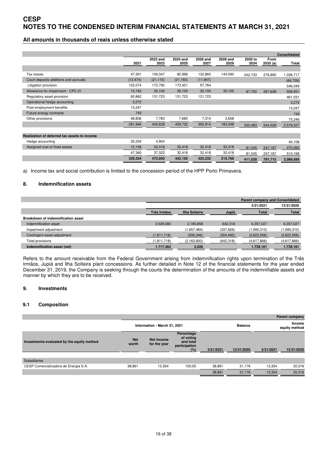### **All amounts in thousands of reais unless otherwise stated**

|                                              |           |                  |                  |                  |                  |                 |                 | <b>Consolidated</b> |
|----------------------------------------------|-----------|------------------|------------------|------------------|------------------|-----------------|-----------------|---------------------|
|                                              | 2021      | 2022 and<br>2023 | 2024 and<br>2025 | 2026 and<br>2027 | 2028 and<br>2029 | 2030 to<br>2034 | From<br>2035(a) | Total               |
|                                              |           |                  |                  |                  |                  |                 |                 |                     |
| Tax losses                                   | 47,301    | 109,347          | 82,996           | 132,860          | 144,590          | 242,733         | 276,890         | 1,036,717           |
| Court deposits additions and accruals        | (12, 474) | (21, 115)        | (21, 193)        | (11, 947)        |                  |                 |                 | (66, 729)           |
| Litigation provision                         | 102,074   | 172,790          | 173,421          | 97,764           |                  |                 |                 | 546,049             |
| Allowance for impairment - CPC 01            | 13,163    | 35,100           | 35,100           | 35,100           | 35,100           | 87,750          | 267,638         | 508,951             |
| Regulatory asset provision                   | 65,862    | 131,723          | 131,723          | 131,723          |                  |                 |                 | 461,031             |
| Operational hedge accounting                 | 3,272     |                  |                  |                  |                  |                 |                 | 3,272               |
| Post-employment benefits                     | 13,247    |                  |                  |                  |                  |                 |                 | 13,247              |
| Future energy contracts                      | 743       |                  |                  |                  |                  |                 |                 | 743                 |
| Other provisions                             | 48,806    | 7,783            | 7,685            | 7,314            | 3,658            |                 |                 | 75,246              |
|                                              | 281,994   | 435,628          | 409,732          | 392,814          | 183,348          | 330,483         | 544,528         | 2,578,527           |
|                                              |           |                  |                  |                  |                  |                 |                 |                     |
| Realization of deferred tax assets to income |           |                  |                  |                  |                  |                 |                 |                     |
| Hedge accounting                             | 35,204    | 4,904            |                  |                  |                  |                 |                 | 40,108              |
| Assigned cost of fixed assets                | 12,156    | 32,418           | 32,418           | 32,418           | 32,418           | 81,045          | 247,187         | 470,060             |
|                                              | 47,360    | 37,322           | 32,418           | 32,418           | 32,418           | 81,045          | 247,187         | 510,168             |
|                                              | 329,354   | 472,950          | 442,150          | 425,232          | 215,766          | 411,528         | 791,715         | 3,088,695           |

a) Income tax and social contribution is limited to the concession period of the HPP Porto Primavera.

#### **8. Indemnification assets**

|                                           |             |               |            | <b>Parent company and Consolidated</b> |              |  |
|-------------------------------------------|-------------|---------------|------------|----------------------------------------|--------------|--|
|                                           |             |               |            | 3/31/2021                              | 12/31/2020   |  |
|                                           | Três Irmãos | Ilha Solteira | Jupiá      | Total                                  | <b>Total</b> |  |
| <b>Breakdown of indemnification asset</b> |             |               |            |                                        |              |  |
| Indemnification asset                     | 3,529,080   | 2.165.858     | 642.318    | 6.357.027                              | 6,357,027    |  |
| Impairment adjustment                     |             | (1,657,484)   | (337, 826) | (1.995, 310)                           | (1,995,310)  |  |
| Contingent asset adjustment               | (1,811,718) | (506, 346)    | (304, 492) | (2,622,556)                            | (2,622,556)  |  |
| Total provisions                          | (1,811,718) | (2, 163, 830) | (642, 318) | (4,617,866)                            | (4,617,866)  |  |
| Indemnification asset (net)               | 1,717,362   | 2,028         |            | 1,739,161                              | 1,739,161    |  |

Refers to the amount receivable from the Federal Government arising from indemnification rights upon termination of the Três Irmãos, Jupiá and Ilha Solteira plant concessions. As further detailed in Note 12 of the financial statements for the year ended December 31, 2019, the Company is seeking through the courts the determination of the amounts of the indemnifiable assets and manner by which they are to be received.

#### **9. Investments**

#### **9.1 Composition**

|                                            |                              |                            |                                                              |           |                |                         | <b>Parent company</b> |
|--------------------------------------------|------------------------------|----------------------------|--------------------------------------------------------------|-----------|----------------|-------------------------|-----------------------|
|                                            | Information - March 31, 2021 |                            |                                                              |           | <b>Balance</b> | Income<br>equity method |                       |
| Investments evaluated by the equity method | <b>Net</b><br>worth          | Net income<br>for the year | Percentage<br>of voting<br>and total<br>participation<br>(%) | 3/31/2021 | 12/31/2020     | 3/31/2021               | 12/31/2020            |
| <b>Subsidiaries</b>                        |                              |                            |                                                              |           |                |                         |                       |
| CESP Comercializadora de Energia S.A.      | 38,861                       | 13.354                     | 100.00                                                       | 38,861    | 31.176         | 13.354                  | 20,316                |
|                                            |                              |                            |                                                              | 38,861    | 31.176         | 13.354                  | 20,316                |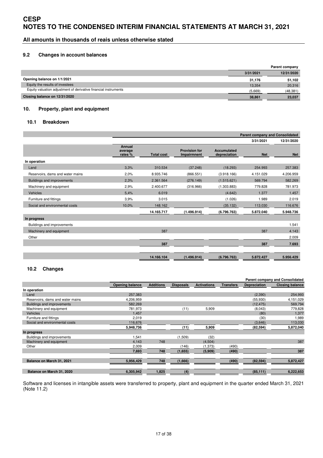**All amounts in thousands of reais unless otherwise stated** 

#### **9.2 Changes in account balances**

|                                                                 |           | Parent company |
|-----------------------------------------------------------------|-----------|----------------|
|                                                                 | 3/31/2021 | 12/31/2020     |
| Opening balance on 1/1/2021                                     | 31,176    | 51,102         |
| Equity the results of investees                                 | 13.354    | 20.316         |
| Equity valuation adjustment of derivative financial instruments | (5.669)   | (48, 381)      |
| Closing balance on 12/31/2020                                   | 38,861    | 23,037         |

#### **10. Property, plant and equipment**

#### **10.1 Breakdown**

|                                  |                              |                   |                                     |                                    | <b>Parent company and Consolidated</b> |            |
|----------------------------------|------------------------------|-------------------|-------------------------------------|------------------------------------|----------------------------------------|------------|
|                                  |                              |                   |                                     |                                    | 3/31/2021                              | 12/31/2020 |
|                                  | Annual<br>average<br>rates % | <b>Total cost</b> | <b>Provision for</b><br>Impairmnent | <b>Accumulated</b><br>depreciation | <b>Net</b>                             | <b>Net</b> |
| In operation                     |                              |                   |                                     |                                    |                                        |            |
| Land                             | 3,3%                         | 310.534           | (37.248)                            | (18.293)                           | 254.993                                | 257.383    |
| Reservoirs, dams and water mains | 2,0%                         | 8.935.746         | (866.551)                           | (3.918.166)                        | 4.151.029                              | 4.206.959  |
| Buildings and improvements       | 2,3%                         | 2.361.564         | (276.149)                           | (1.515.621)                        | 569.794                                | 582.269    |
| Machinery and equipment          | 2,9%                         | 2.400.677         | (316.966)                           | (1.303.883)                        | 779.828                                | 781.973    |
| Vehicles                         | 5.4%                         | 6.019             |                                     | (4.642)                            | 1.377                                  | 1.457      |
| Furniture and fittings           | 3,9%                         | 3.015             |                                     | (1.026)                            | 1.989                                  | 2.019      |
| Social and environmental costs   | 10,0%                        | 148.162           |                                     | (35.132)                           | 113.030                                | 116.676    |
|                                  |                              | 14.165.717        | (1.496.914)                         | (6.796.763)                        | 5.872.040                              | 5.948.736  |
| In progress                      |                              |                   |                                     |                                    |                                        |            |
| Buildings and improvements       |                              |                   |                                     |                                    |                                        | 1.541      |
| Machinery and equipment          |                              | 387               |                                     |                                    | 387                                    | 4.143      |
| Other                            |                              |                   |                                     |                                    |                                        | 2.009      |
|                                  |                              | 387               |                                     |                                    | 387                                    | 7.693      |
|                                  |                              |                   |                                     |                                    |                                        |            |
|                                  |                              | 14.166.104        | (1.496.914)                         | (6.796.763)                        | 5.872.427                              | 5.956.429  |

#### **10.2 Changes**

|                                   |                        |                  |                  |                    |                  |                     | <b>Parent company and Consolidated</b> |
|-----------------------------------|------------------------|------------------|------------------|--------------------|------------------|---------------------|----------------------------------------|
|                                   | <b>Opening balance</b> | <b>Additions</b> | <b>Disposals</b> | <b>Activations</b> | <b>Transfers</b> | <b>Depreciation</b> | <b>Closing balance</b>                 |
| In operation                      |                        |                  |                  |                    |                  |                     |                                        |
| Land                              | 257,383                |                  |                  |                    |                  | (2,390)             | 254,993                                |
| Reservoirs, dams and water mains  | 4,206,959              |                  |                  |                    |                  | (55,930)            | 4,151,029                              |
| <b>Buildings and improvements</b> | 582.269                |                  |                  |                    |                  | (12, 475)           | 569,794                                |
| Machinery and equipment           | 781,973                |                  | (11)             | 5,909              |                  | (8,043)             | 779,828                                |
| <b>Vehicles</b>                   | 1.457                  |                  |                  |                    |                  | (80)                | 1.377                                  |
| Furniture and fittings            | 2,019                  |                  |                  |                    |                  | (30)                | 1,989                                  |
| Social and environmental costs    | 116,676                |                  |                  |                    |                  | (3,646)             | 113,030                                |
|                                   | 5,948,736              |                  | (11)             | 5,909              |                  | (82, 594)           | 5,872,040                              |
| In progress                       |                        |                  |                  |                    |                  |                     |                                        |
| Buildings and improvements        | 1,541                  |                  | (1,509)          | (32)               |                  |                     |                                        |
| Machinery and equipment           | 4,143                  | 748              |                  | (4,504)            |                  |                     | 387                                    |
| Other                             | 2,009                  |                  | (146)            | (1, 373)           | (490)            |                     |                                        |
|                                   | 7,693                  | 748              | (1,655)          | (5,909)            | (490)            |                     | 387                                    |
|                                   |                        |                  |                  |                    |                  |                     |                                        |
| Balance on March 31, 2021         | 5,956,429              | 748              | (1,666)          |                    | (490)            | (82, 594)           | 5,872,427                              |
|                                   |                        |                  |                  |                    |                  |                     |                                        |
| Balance on March 31, 2020         | 6,305,942              | 1,825            | (4)              |                    |                  | (85, 111)           | 6,222,653                              |

Software and licenses in intangible assets were transferred to property, plant and equipment in the quarter ended March 31, 2021 (Note 11.2)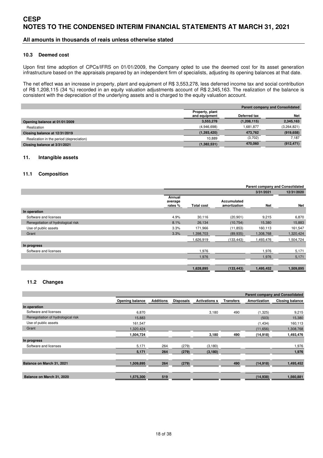### **All amounts in thousands of reais unless otherwise stated**

#### **10.3 Deemed cost**

Upon first time adoption of CPCs/IFRS on 01/01/2009, the Company opted to use the deemed cost for its asset generation infrastructure based on the appraisals prepared by an independent firm of specialists, adjusting its opening balances at that date.

The net effect was an increase in property, plant and equipment of R\$ 3,553,278, less deferred income tax and social contribution of R\$ 1,208,115 (34 %) recorded in an equity valuation adjustments account of R\$ 2,345,163. The realization of the balance is consistent with the depreciation of the underlying assets and is charged to the equity valuation account.

|                                          | <b>Parent company and Consolidated</b> |              |             |  |
|------------------------------------------|----------------------------------------|--------------|-------------|--|
|                                          | Property, plant                        |              |             |  |
|                                          | and equipment                          | Deferred tax | Net         |  |
| Opening balance at 01/01/2009            | 3,553,278                              | (1,208,115)  | 2,345,163   |  |
| Realization                              | (4,946,698)                            | 1.681.877    | (3,264,821) |  |
| Closing balance at 12/31/2019            | (1,393,420)                            | 473.762      | (919, 658)  |  |
| Realization in the period (depreciation) | 10.889                                 | (3,702)      | 7.187       |  |
| Closing balance at 3/31/2021             | (1,382,531)                            | 470,060      | (912, 471)  |  |

#### **11. Intangible assets**

#### **11.1 Composition**

|                                    |                             | <b>Parent company and Consolidated</b> |                             |           |            |  |
|------------------------------------|-----------------------------|----------------------------------------|-----------------------------|-----------|------------|--|
|                                    |                             |                                        |                             | 3/31/2021 | 12/31/2020 |  |
|                                    | Annual<br>average<br>rates% | <b>Total cost</b>                      | Accumulated<br>amortization | Net       | Net        |  |
| In operation                       |                             |                                        |                             |           |            |  |
| Software and licenses              | 4.9%                        | 30,116                                 | (20, 901)                   | 9,215     | 6,870      |  |
| Renegotiation of hydrological risk | 8.1%                        | 26,134                                 | (10, 754)                   | 15,380    | 15,883     |  |
| Use of public assets               | 3.3%                        | 171,966                                | (11, 853)                   | 160,113   | 161,547    |  |
| Grant                              | 3.3%                        | 1,398,703                              | (89, 935)                   | 1,308,768 | 1,320,424  |  |
|                                    |                             | 1,626,919                              | (133, 443)                  | 1,493,476 | 1,504,724  |  |
| In progress                        |                             |                                        |                             |           |            |  |
| Software and licenses              |                             | 1,976                                  |                             | 1,976     | 5,171      |  |
|                                    |                             | 1,976                                  |                             | 1,976     | 5,171      |  |
|                                    |                             |                                        |                             |           |            |  |
|                                    |                             | 1,628,895                              | (133, 443)                  | 1,495,452 | 1,509,895  |  |

#### **11.2 Changes**

|                                    |                 |                  |                  |                      |                  |              | <b>Parent company and Consolidated</b> |
|------------------------------------|-----------------|------------------|------------------|----------------------|------------------|--------------|----------------------------------------|
|                                    | Opening balance | <b>Additions</b> | <b>Disposals</b> | <b>Activations s</b> | <b>Transfers</b> | Amortization | <b>Closing balance</b>                 |
| In operation                       |                 |                  |                  |                      |                  |              |                                        |
| Software and licenses              | 6,870           |                  |                  | 3,180                | 490              | (1, 325)     | 9,215                                  |
| Renegotiation of hydrological risk | 15,883          |                  |                  |                      |                  | (503)        | 15,380                                 |
| Use of public assets               | 161,547         |                  |                  |                      |                  | (1,434)      | 160,113                                |
| Grant                              | 1,320,424       |                  |                  |                      |                  | (11,656)     | 1,308,768                              |
|                                    | 1,504,724       |                  |                  | 3,180                | 490              | (14, 918)    | 1,493,476                              |
| In progress                        |                 |                  |                  |                      |                  |              |                                        |
| Software and licenses              | 5,171           | 264              | (279)            | (3, 180)             |                  |              | 1,976                                  |
|                                    | 5,171           | 264              | (279)            | (3, 180)             |                  |              | 1,976                                  |
|                                    |                 |                  |                  |                      |                  |              |                                        |
| Balance on March 31, 2021          | 1,509,895       | 264              | (279)            |                      | 490              | (14, 918)    | 1,495,452                              |
|                                    |                 |                  |                  |                      |                  |              |                                        |
| Balance on March 31, 2020          | 1,575,300       | 519              |                  |                      |                  | (14, 938)    | 1,560,881                              |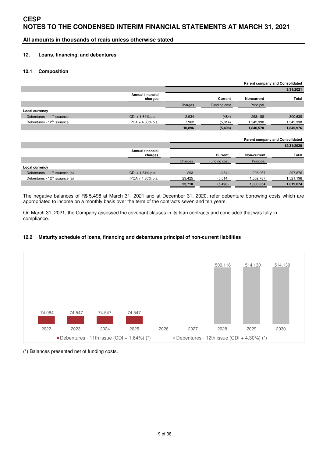**All amounts in thousands of reais unless otherwise stated** 

### **12. Loans, financing, and debentures**

### **12.1 Composition**

|                                            |                                    | <b>Parent company and Consolidated</b> |              |                                        |            |
|--------------------------------------------|------------------------------------|----------------------------------------|--------------|----------------------------------------|------------|
|                                            |                                    |                                        |              |                                        | 3/31/2021  |
|                                            | <b>Annual financial</b><br>charges |                                        | Current      | <b>Noncurrent</b>                      | Total      |
|                                            |                                    | Charges                                | Funding cost | Principal                              |            |
| Local currency                             |                                    |                                        |              |                                        |            |
| Debentures - 11 <sup>th</sup> issuance     | CDI + 1.64% p.a.                   | 2,934                                  | (484)        | 298,188                                | 300,638    |
| Debentures - 12 <sup>th</sup> issuance     | IPCA + 4.30% p.a.                  | 7,962                                  | (5,014)      | 542,390                                | ,545,338   |
|                                            |                                    | 10,896                                 | (5, 498)     | 1,840,578                              | 1,845,976  |
|                                            |                                    |                                        |              |                                        |            |
|                                            |                                    |                                        |              | <b>Parent company and Consolidated</b> |            |
|                                            |                                    |                                        |              |                                        | 12/31/2020 |
|                                            | <b>Annual financial</b><br>charges |                                        | Current      | Non-current                            | Total      |
|                                            |                                    | Charges                                | Funding cost | Principal                              |            |
| Local currency                             |                                    |                                        |              |                                        |            |
| Debentures - 11 <sup>th</sup> issuance (a) | $CDI + 1.64% p.a.$                 | 293                                    | (484)        | 298,067                                | 297,876    |
| Debentures - 12 <sup>th</sup> issuance (a) | IPCA + 4.30% p.a.                  | 23.425                                 | (5,014)      | 1,502,787                              | .521,198   |
|                                            |                                    | 23,718                                 | (5, 498)     | 1,800,854                              | 1,819,074  |

The negative balances of R\$ 5,498 at March 31, 2021 and at December 31, 2020, refer debenture borrowing costs which are appropriated to income on a monthly basis over the term of the contracts seven and ten years.

On March 31, 2021, the Company assessed the covenant clauses in its loan contracts and concluded that was fully in compliance.

### **12.2 Maturity schedule of loans, financing and debentures principal of non-current liabilities**



(\*) Balances presented net of funding costs.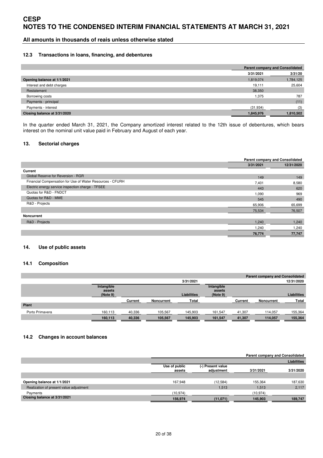### **All amounts in thousands of reais unless otherwise stated**

#### **12.3 Transactions in loans, financing, and debentures**

|                              |           | <b>Parent company and Consolidated</b> |
|------------------------------|-----------|----------------------------------------|
|                              | 3/31/2021 | 3/31/20                                |
| Opening balance at 1/1/2021  | 1,819,074 | 1,784,125                              |
| Interest and debt charges    | 19.111    | 25,604                                 |
| Restatement                  | 38,350    |                                        |
| Borrowing costs              | 1,375     | 787                                    |
| Payments - principal         |           | (11)                                   |
| Payments - interest          | (31, 934) | (3)                                    |
| Closing balance at 3/31/2020 | 1.845.976 | 1.810.502                              |

In the quarter ended March 31, 2021, the Company amortized interest related to the 12th issue of debentures, which bears interest on the nominal unit value paid in February and August of each year.

#### **13. Sectorial charges**

|                                                           | Parent company and Consolidated |            |  |
|-----------------------------------------------------------|---------------------------------|------------|--|
|                                                           | 3/31/2021                       | 12/31/2020 |  |
| Current                                                   |                                 |            |  |
| Global Reserve for Reversion - RGR                        | 149                             | 149        |  |
| Financial Compensation for Use of Water Resources - CFURH | 7,401                           | 8,580      |  |
| Electric energy service inspection charge - TFSEE         | 443                             | 620        |  |
| Quotas for R&D - FNDCT                                    | 1,090                           | 969        |  |
| Quotas for R&D - MME                                      | 545                             | 490        |  |
| R&D - Projects                                            | 65,906                          | 65,699     |  |
|                                                           | 75,534                          | 76,507     |  |
| Noncurrent                                                |                                 |            |  |
| R&D - Projects                                            | 1,240                           | 1,240      |  |
|                                                           | 1.240                           | 1,240      |  |
|                                                           | 76,774                          | 77,747     |  |

#### **14. Use of public assets**

#### **14.1 Composition**

|                 |                                  |         |            |                    |                                  |         | <b>Parent company and Consolidated</b> |                    |
|-----------------|----------------------------------|---------|------------|--------------------|----------------------------------|---------|----------------------------------------|--------------------|
|                 |                                  |         |            | 3/31/2021          |                                  |         |                                        | 12/31/2020         |
|                 | Intangible<br>assets<br>(Note 9) |         |            | <b>Liabilities</b> | Intangible<br>assets<br>(Note 9) |         |                                        | <b>Liabilities</b> |
|                 |                                  | Current | Noncurrent | Total              |                                  | Current | <b>Noncurrent</b>                      | Total              |
| Plant           |                                  |         |            |                    |                                  |         |                                        |                    |
| Porto Primavera | 160,113                          | 40,336  | 105,567    | 145,903            | 161,547                          | 41,307  | 114,057                                | 155,364            |
|                 | 160,113                          | 40,336  | 105,567    | 145,903            | 161,547                          | 41,307  | 114,057                                | 155,364            |

#### **14.2 Changes in account balances**

|                                         |                         |                                 |           | Parent company and Consolidated |
|-----------------------------------------|-------------------------|---------------------------------|-----------|---------------------------------|
|                                         |                         |                                 |           | <b>Liabilities</b>              |
|                                         | Use of public<br>assets | (-) Present value<br>adjustment | 3/31/2021 | 3/31/2020                       |
|                                         |                         |                                 |           |                                 |
| Opening balance at 1/1/2021             | 167,948                 | (12, 584)                       | 155,364   | 187,630                         |
| Realization of present value adjustment |                         | 1,513                           | 1.513     | 2,117                           |
| Payments                                | (10.974)                |                                 | (10, 974) |                                 |
| Closing balance at 3/31/2021            | 156,974                 | (11,071)                        | 145,903   | 189,747                         |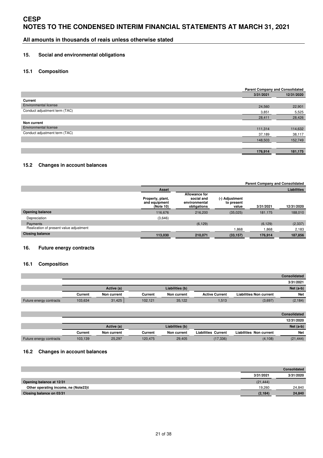**All amounts in thousands of reais unless otherwise stated** 

#### **15. Social and environmental obligations**

### **15.1 Composition**

|                               | <b>Parent Company and Consolidated</b> |            |
|-------------------------------|----------------------------------------|------------|
|                               | 3/31/2021                              | 12/31/2020 |
| Current                       |                                        |            |
| <b>Environmental license</b>  | 24,560                                 | 22,901     |
| Conduct adjustment term (TAC) | 3,851                                  | 5,525      |
|                               | 28,411                                 | 28,426     |
| Non current                   |                                        |            |
| Environmental license         | 111,314                                | 114,632    |
| Conduct adjustment term (TAC) | 37,189                                 | 38,117     |
|                               | 148,503                                | 152,749    |
|                               |                                        |            |
|                               | 176,914                                | 181,175    |

#### **15.2 Changes in account balances**

|                                         | <b>Parent Company and Consolidated</b>         |                                                                    |                                       |           |                    |  |  |
|-----------------------------------------|------------------------------------------------|--------------------------------------------------------------------|---------------------------------------|-----------|--------------------|--|--|
|                                         | Asset                                          |                                                                    |                                       |           | <b>Liabilities</b> |  |  |
|                                         | Property, plant,<br>and equipment<br>(Note 10) | <b>Allowance for</b><br>social and<br>environmental<br>obligations | (-) Adjustment<br>to present<br>value | 3/31/2021 | 12/31/2020         |  |  |
| <b>Opening balance</b>                  | 116,676                                        | 216,200                                                            | (35,025)                              | 181,175   | 188,010            |  |  |
| Depreciation                            | (3,646)                                        |                                                                    |                                       |           |                    |  |  |
| Payments                                |                                                | (6, 129)                                                           |                                       | (6, 129)  | (2, 337)           |  |  |
| Realization of present value adjustment |                                                |                                                                    | 868,1                                 | 1,868     | 2,183              |  |  |
| <b>Closing balance</b>                  | 113,030                                        | 210,071                                                            | (33, 157)                             | 176,914   | 187,856            |  |  |

### **16. Future energy contracts**

#### **16.1 Composition**

|                         |            |             |                 |             |                       |                                | <b>Consolidated</b> |  |
|-------------------------|------------|-------------|-----------------|-------------|-----------------------|--------------------------------|---------------------|--|
|                         |            |             |                 |             |                       |                                | 3/31/2021           |  |
|                         | Active (a) |             | Liabilities (b) |             |                       |                                |                     |  |
|                         | Current    | Non current | Current         | Non current | <b>Active Current</b> | <b>Liabilities Non current</b> | <b>Net</b>          |  |
| Future energy contracts | 103,634    | 31,425      | 102.121         | 35.122      | 1,513                 | (3,697)                        | (2, 184)            |  |

|                         |            |             |         |                 |                            |                                | <b>Consolidated</b> |  |
|-------------------------|------------|-------------|---------|-----------------|----------------------------|--------------------------------|---------------------|--|
|                         |            |             |         |                 |                            |                                | 12/31/2020          |  |
|                         | Active (a) |             |         | Liabilities (b) |                            | $Net (a-b)$                    |                     |  |
|                         | Current    | Non current | Current | Non current     | <b>Liabilities Current</b> | <b>Liabilities Non current</b> | <b>Net</b>          |  |
| Future energy contracts | 103,139    | 25,297      | 120.475 | 29.405          | (17, 336)                  | (4, 108)                       | (21, 444)           |  |

#### **16.2 Changes in account balances**

|                                      |           | Consolidated |
|--------------------------------------|-----------|--------------|
|                                      | 3/31/2021 | 3/31/2020    |
| Opening balance at 12/31             | (21, 444) |              |
| Other operating income, ne (Note23)t | 19.260    | 24.840       |
| Closing balance on 03/31             | (2, 184)  | 24.840       |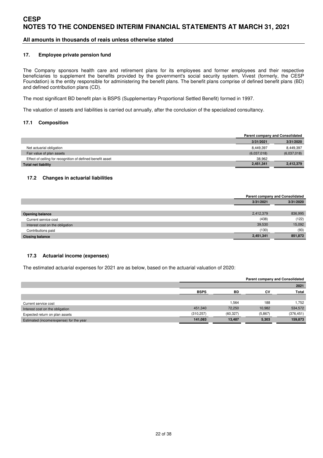### **All amounts in thousands of reais unless otherwise stated**

#### **17. Employee private pension fund**

The Company sponsors health care and retirement plans for its employees and former employees and their respective beneficiaries to supplement the benefits provided by the government's social security system. Vivest (formerly, the CESP Foundation) is the entity responsible for administering the benefit plans. The benefit plans comprise of defined benefit plans (BD) and defined contribution plans (CD).

The most significant BD benefit plan is BSPS (Supplementary Proportional Settled Benefit) formed in 1997.

The valuation of assets and liabilities is carried out annually, after the conclusion of the specialized consultancy.

#### **17.1 Composition**

|                                                            |             | <b>Parent company and Consolidated</b> |
|------------------------------------------------------------|-------------|----------------------------------------|
|                                                            | 3/31/2021   | 3/31/2020                              |
| Net actuarial obligation                                   | 8.449.397   | 8,449,397                              |
| Fair value of plan assets                                  | (6,037,018) | (6,037,018)                            |
| Effect of ceiling for recognition of defined benefit asset | 38.962      |                                        |
| Total net liability                                        | 2,451,341   | 2,412,379                              |

#### **17.2 Changes in actuarial liabilities**

|                                 |           | <b>Parent company and Consolidated</b> |
|---------------------------------|-----------|----------------------------------------|
|                                 | 3/31/2021 | 3/31/2020                              |
|                                 |           |                                        |
| <b>Opening balance</b>          | 2,412,379 | 836,995                                |
| Current service cost            | (438)     | (122)                                  |
| Interest cost on the obligation | 39,530    | 15,092                                 |
| Contributions paid              | (130)     | (93)                                   |
| <b>Closing balance</b>          | 2,451,341 | 851,872                                |

#### **17.3 Actuarial income (expenses)**

The estimated actuarial expenses for 2021 are as below, based on the actuarial valuation of 2020:

|                                         |             |           | <b>Parent company and Consolidated</b> |              |
|-----------------------------------------|-------------|-----------|----------------------------------------|--------------|
|                                         |             |           |                                        | 2021         |
|                                         | <b>BSPS</b> | <b>BD</b> | CV.                                    | <b>Total</b> |
|                                         |             |           |                                        |              |
| Current service cost                    |             | 1.564     | 188                                    | 1.752        |
| Interest cost on the obligation         | 451.340     | 72.250    | 10.982                                 | 534,572      |
| Expected return on plan assets          | (310, 257)  | (60, 327) | (5,867)                                | (376, 451)   |
| Estimated (income/expense) for the year | 141,083     | 13,487    | 5,303                                  | 159,873      |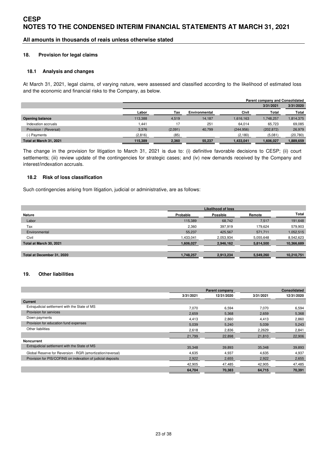### **All amounts in thousands of reais unless otherwise stated**

#### **18. Provision for legal claims**

#### **18.1 Analysis and changes**

At March 31, 2021, legal claims, of varying nature, were assessed and classified according to the likelihood of estimated loss and the economic and financial risks to the Company, as below.

|                         |         | <b>Parent company and Consolidated</b> |               |            |            |           |  |  |  |
|-------------------------|---------|----------------------------------------|---------------|------------|------------|-----------|--|--|--|
|                         |         |                                        |               |            | 3/31/2021  | 3/31/2020 |  |  |  |
|                         | Labor   | Tax                                    | Environmental | Civil      | Total      | Total     |  |  |  |
| <b>Opening balance</b>  | 113.388 | 4.519                                  | 14.187        | 1,616,163  | 1,748,257  | 1,814,375 |  |  |  |
| Indexation accruals     | 1.441   | 17                                     | 251           | 64.014     | 65.723     | 69,085    |  |  |  |
| Provision / (Reversal)  | 3,376   | (2,091)                                | 40,799        | (244, 956) | (202, 872) | 26,979    |  |  |  |
| (-) Payments            | (2,816) | (85)                                   |               | (2, 180)   | (5,081)    | (20, 780) |  |  |  |
| Total at March 31, 2021 | 115,389 | 2,360                                  | 55,237        | 1,433,041  | 1,606,027  | ,889,659  |  |  |  |

The change in the provision for litigation to March 31, 2021 is due to: (i) definitive favorable decisions to CESP; (ii) court settlements; (iii) review update of the contingencies for strategic cases; and (iv) new demands received by the Company and interest/indexation accruals.

#### **18.2 Risk of loss classification**

Such contingencies arising from litigation, judicial or administrative, are as follows:

|                            |           | <b>Likelihood of loss</b> |           |            |
|----------------------------|-----------|---------------------------|-----------|------------|
| <b>Nature</b>              | Probable  | Possible                  | Remote    | Total      |
| Labor                      | 115,389   | 68.742                    | 7.517     | 191,648    |
| Tax                        | 2,360     | 397,919                   | 179.624   | 579,903    |
| Environmental              | 55,237    | 425,567                   | 571,711   | 1,052,515  |
| Civil                      | 1,433,041 | 2,053,934                 | 5,055,648 | 8,542,623  |
| Total at March 30, 2021    | 1,606,027 | 2,946,162                 | 5,814,500 | 10,366,689 |
|                            |           |                           |           |            |
| Total at December 31, 2020 | 1,748,257 | 2,913,234                 | 5,549,260 | 10.210.751 |

### **19. Other liabilities**

|                                                             |           | <b>Parent company</b> |           | Consolidated |
|-------------------------------------------------------------|-----------|-----------------------|-----------|--------------|
|                                                             | 3/31/2021 | 12/31/2020            | 3/31/2021 | 12/31/2020   |
| <b>Current</b>                                              |           |                       |           |              |
| Extrajudicial settlement with the State of MS               | 7,070     | 6,594                 | 7,070     | 6,594        |
| Provision for services                                      | 2,659     | 5,368                 | 2,659     | 5,368        |
| Down payments                                               | 4,413     | 2,860                 | 4,413     | 2,860        |
| Provision for education fund expenses                       | 5,039     | 5,240                 | 5,039     | 5,243        |
| Other liabilities                                           | 2,618     | 2,836                 | 2,2629    | 2,841        |
|                                                             | 21,799    | 22,898                | 21,810    | 22,906       |
| <b>Noncurrent</b>                                           |           |                       |           |              |
| Extrajudicial settlement with the State of MS               | 35,348    | 39.893                | 35,348    | 39,893       |
| Global Reserve for Reversion - RGR (amortization/reversal)  | 4,635     | 4,937                 | 4,635     | 4,937        |
| Provision for PIS/COFINS on indexation of judicial deposits | 2,922     | 2,655                 | 2,922     | 2,655        |
|                                                             | 42,905    | 47,485                | 42,905    | 47,485       |
|                                                             | 64,704    | 70,383                | 64,715    | 70,391       |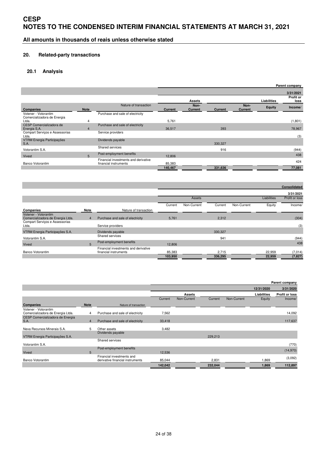**All amounts in thousands of reais unless otherwise stated** 

### **20. Related-party transactions**

### **20.1 Analysis**

|                                                     |                |                                                               |                |                        |                |                        |               | Parent company    |
|-----------------------------------------------------|----------------|---------------------------------------------------------------|----------------|------------------------|----------------|------------------------|---------------|-------------------|
|                                                     |                |                                                               |                |                        |                |                        |               | 3/31/2021         |
|                                                     |                |                                                               |                | <b>Assets</b>          |                |                        | Liabilities   | Profit or<br>loss |
| Companies                                           | <b>Note</b>    | Nature of transaction                                         | <b>Current</b> | Non-<br><b>Current</b> | <b>Current</b> | Non-<br><b>Current</b> | <b>Equity</b> | Income/           |
| Votener - Votorantim<br>Comercializadora de Energia |                | Purchase and sale of electricity                              |                |                        |                |                        |               |                   |
| Ltda.                                               | 4              |                                                               | 5,761          |                        |                |                        |               | (1,801)           |
| CESP Comercializadora de<br>Energia S.A.            | $\overline{4}$ | Purchase and sale of electricity                              | 36,517         |                        | 393            |                        |               | 78,967            |
| Compart Serviços e Assessorias<br>Ltda.             |                | Service providers                                             |                |                        |                |                        |               | (3)               |
| VTRM Energia Participações<br><b>S.A.</b>           |                | Dividends payable                                             |                |                        | 330,327        |                        |               |                   |
| Votorantim S.A.                                     |                | Shared services                                               |                |                        | 916            |                        |               | (944)             |
| Vivest                                              | 5              | Post-employment benefits                                      | 12,806         |                        |                |                        |               | 438               |
| Banco Votorantim                                    |                | Financial investments and derivative<br>financial instruments | 85,383         |                        |                |                        |               | 424               |
|                                                     |                |                                                               | 140,467        |                        | 331,636        |                        |               | 77,081            |

|                                                                                             |                |                                                               |         |             |         |             |             | <b>Consolidated</b> |
|---------------------------------------------------------------------------------------------|----------------|---------------------------------------------------------------|---------|-------------|---------|-------------|-------------|---------------------|
|                                                                                             |                |                                                               |         |             |         |             |             | 3/31/2021           |
|                                                                                             |                |                                                               |         | Assets      |         |             | Liabilities | Profit or loss      |
|                                                                                             |                |                                                               | Current | Non-Current | Current | Non-Current | Equity      | Income/             |
| Companies                                                                                   | Note           | Nature of transaction                                         |         |             |         |             |             |                     |
| Votener - Votorantim<br>Comercializadora de Energia Ltda.<br>Compart Servicos e Assessorias | $\overline{4}$ | Purchase and sale of electricity                              | 5,761   |             | 2,312   |             |             | (304)               |
| Ltda.                                                                                       |                | Service providers                                             |         |             |         |             |             | (3)                 |
| VTRM Energia Participações S.A.                                                             |                | Dividends payable                                             |         |             | 330,327 |             |             |                     |
| Votorantim S.A.                                                                             |                | Shared services                                               |         |             | 941     |             |             | (944)               |
| <b>Vivest</b>                                                                               | 5              | Post-employment benefits                                      | 12,806  |             |         |             |             | 438                 |
| <b>Banco Votorantim</b>                                                                     |                | Financial investments and derivative<br>financial instruments | 85,383  |             | 2,715   |             | 22,959      | (7,014)             |
|                                                                                             |                |                                                               | 103,950 |             | 336,295 |             | 22,959      | (7, 827)            |

|                                                           |                |                                                               |         |               |         |             |             | Parent company |
|-----------------------------------------------------------|----------------|---------------------------------------------------------------|---------|---------------|---------|-------------|-------------|----------------|
|                                                           |                |                                                               |         |               |         |             | 12/31/2020  | 3/31/2020      |
|                                                           |                |                                                               |         | <b>Assets</b> |         |             | Liabilities | Profit or loss |
|                                                           |                |                                                               | Current | Non-Current   | Current | Non-Current | Equity      | Income/        |
| Companies                                                 | <b>Note</b>    | Nature of transaction                                         |         |               |         |             |             |                |
| Votener - Votorantim<br>Comercializadora de Energia Ltda. | 4              | Purchase and sale of electricity                              | 7,562   |               |         |             |             | 14,092         |
| CESP Comercializadora de Energia<br><b>S.A.</b>           | $\overline{4}$ | Purchase and sale of electricity                              | 33,418  |               |         |             |             | 117,637        |
| Nexa Recursos Minerais S.A.                               | 5              | Other assets                                                  | 3,482   |               |         |             |             |                |
| VTRM Energia Participações S.A.                           |                | Dividends payable                                             |         |               | 229,213 |             |             |                |
| Votorantim S.A.                                           |                | Shared services                                               |         |               |         |             |             | (770)          |
| <b>Vivest</b>                                             | 5              | Post-employment benefits                                      | 12,536  |               |         |             |             | (14,970)       |
| Banco Votorantim                                          |                | Financial investments and<br>derivative financial instruments | 85,044  |               | 2,831   |             | 1,869       | (3,092)        |
|                                                           |                |                                                               | 142,042 |               | 232,044 |             | 1,869       | 112,897        |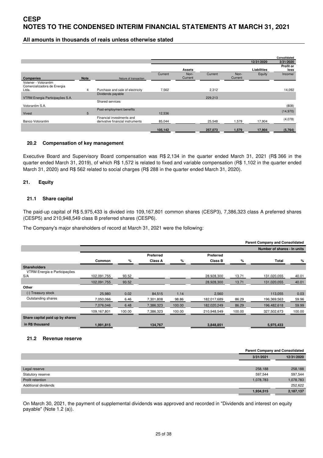### **All amounts in thousands of reais unless otherwise stated**

|                                                     |             |                                                               |         |               |         |         |             | Consolidated      |
|-----------------------------------------------------|-------------|---------------------------------------------------------------|---------|---------------|---------|---------|-------------|-------------------|
|                                                     |             |                                                               |         |               |         |         | 12/31/2020  | 3/31/2020         |
|                                                     |             |                                                               |         | <b>Assets</b> |         |         | Liabilities | Profit or<br>loss |
|                                                     |             |                                                               | Current | Non-          | Current | Non-    | Equity      | Income/           |
| Companies                                           | <b>Note</b> | Nature of transaction                                         |         | Current       |         | Current |             |                   |
| Votener - Votorantim<br>Comercializadora de Energia |             |                                                               |         |               |         |         |             |                   |
| Ltda.                                               | 4           | Purchase and sale of electricity                              | 7,562   |               | 2,312   |         |             | 14,092            |
|                                                     |             | Dividends payable                                             |         |               |         |         |             |                   |
| VTRM Energia Participações S.A.                     |             |                                                               |         |               | 229,213 |         |             |                   |
|                                                     |             | Shared services                                               |         |               |         |         |             |                   |
| Votorantim S.A.                                     |             |                                                               |         |               |         |         |             | (808)             |
|                                                     |             | Post-employment benefits                                      |         |               |         |         |             |                   |
| Vivest                                              | 5           |                                                               | 12,536  |               |         |         |             | (14,970)          |
| <b>Banco Votorantim</b>                             |             | Financial investments and<br>derivative financial instruments | 85,044  |               | 25,548  | 1,579   | 17,904      | (4,078)           |
|                                                     |             |                                                               | 105,142 |               | 257,073 | 1,579   | 17,904      | (5, 764)          |

#### **20.2 Compensation of key management**

Executive Board and Supervisory Board compensation was R\$ 2,134 in the quarter ended March 31, 2021 (R\$ 366 in the quarter ended March 31, 2019), of which R\$ 1,572 is related to fixed and variable compensation (R\$ 1,102 in the quarter ended March 31, 2020) and R\$ 562 related to social charges (R\$ 288 in the quarter ended March 31, 2020).

#### **21. Equity**

#### **21.1 Share capital**

The paid-up capital of R\$ 5,975,433 is divided into 109,167,801 common shares (CESP3), 7,386,323 class A preferred shares (CESP5) and 210,948,549 class B preferred shares (CESP6).

The Company's major shareholders of record at March 31, 2021 were the following:

|                                     | <b>Parent Company and Consolidated</b> |        |           |        |             |        |                             |        |
|-------------------------------------|----------------------------------------|--------|-----------|--------|-------------|--------|-----------------------------|--------|
|                                     |                                        |        |           |        |             |        | Number of shares - In units |        |
|                                     |                                        |        | Preferred |        | Preferred   |        |                             |        |
|                                     | Common                                 | %      | Class A   | %      | Class B     | %      | Total                       | %      |
| <b>Shareholders</b>                 |                                        |        |           |        |             |        |                             |        |
| VTRM Energia e Participações<br>S/A | 102,091,755                            | 93.52  |           |        | 28,928,300  | 13.71  | 131,020,055                 | 40.01  |
|                                     | 102,091,755                            | 93.52  |           |        | 28,928,300  | 13.71  | 131,020,055                 | 40.01  |
| Other                               |                                        |        |           |        |             |        |                             |        |
| (-) Treasury stock                  | 25,980                                 | 0.02   | 84,515    | 1.14   | 2,560       |        | 113,055                     | 0.03   |
| Outstanding shares                  | 7,050,066                              | 6.46   | 7,301,808 | 98.86  | 182,017,689 | 86.29  | 196,369,563                 | 59.96  |
|                                     | 7,076,046                              | 6.48   | 7,386,323 | 100.00 | 182,020,249 | 86.29  | 196,482,618                 | 59.99  |
|                                     | 109,167,801                            | 100.00 | 7,386,323 | 100.00 | 210,948,549 | 100.00 | 327,502,673                 | 100.00 |
| Share capital paid up by shares     |                                        |        |           |        |             |        |                             |        |
| in R\$ thousand                     | 1,991,815                              |        | 134,767   |        | 3,848,851   |        | 5,975,433                   |        |

#### **21.2 Revenue reserve**

|                      |           | <b>Parent Company and Consolidated</b> |
|----------------------|-----------|----------------------------------------|
|                      | 3/31/2021 | 12/31/2020                             |
|                      |           |                                        |
| Legal reserve        | 258,188   | 258,188                                |
| Statutory reserve    | 597,544   | 597,544                                |
| Profit retention     | 1,078,783 | 1,078,783                              |
| Additional dividends |           | 252,622                                |
|                      | 1,934,515 | 2,187,137                              |

On March 30, 2021, the payment of supplemental dividends was approved and recorded in "Dividends and interest on equity payable" (Note 1.2 (a)).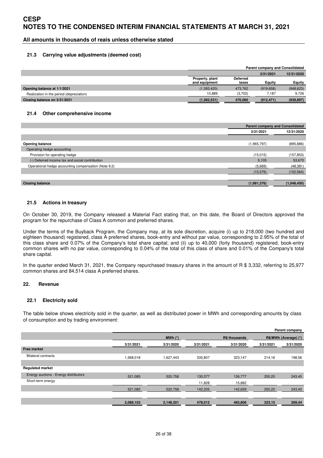**All amounts in thousands of reais unless otherwise stated** 

#### **21.3 Carrying value adjustments (deemed cost)**

|                                          |                                  | <b>Parent company and Consolidated</b> |            |            |  |
|------------------------------------------|----------------------------------|----------------------------------------|------------|------------|--|
|                                          |                                  |                                        | 3/31/2021  | 12/31/2020 |  |
|                                          | Property, plant<br>and equipment | <b>Deferred</b><br>taxes               | Equity     | Equity     |  |
| Opening balance at 1/1/2021              | (1,393,420)                      | 473.762                                | (919, 658) | (948, 623) |  |
| Realization in the period (depreciation) | 10.889                           | (3,702)                                | 7.187      | 9,726      |  |
| Closing balance on 3/31/2021             | (1,382,531)                      | 470,060                                | (912, 471) | (938, 897) |  |

#### **21.4 Other comprehensive income**

|                                                      |             | <b>Parent company and Consolidated</b> |
|------------------------------------------------------|-------------|----------------------------------------|
|                                                      | 3/31/2021   | 12/31/2020                             |
|                                                      |             |                                        |
| <b>Opening balance</b>                               | (1,965,797) | (895, 886)                             |
| Operating hedge accounting                           |             |                                        |
| Provision for operating hedge                        | (15,015)    | (157, 853)                             |
| (-) Deferred income tax and social contribution      | 5,105       | 53,670                                 |
| Operational hedge accounting compensation (Note 9.2) | (5,669)     | (48, 381)                              |
|                                                      | (15, 579)   | (152, 564)                             |
|                                                      |             |                                        |
| <b>Closing balance</b>                               | (1,981,376) | (1,048,450)                            |

#### **21.5 Actions in treasury**

On October 30, 2019, the Company released a Material Fact stating that, on this date, the Board of Directors approved the program for the repurchase of Class A common and preferred shares.

Under the terms of the Buyback Program, the Company may, at its sole discretion, acquire (i) up to 218,000 (two hundred and eighteen thousand) registered, class A preferred shares, book-entry and without par value, corresponding to 2.95% of the total of this class share and 0.07% of the Company's total share capital; and (ii) up to 40,000 (forty thousand) registered, book-entry common shares with no par value, corresponding to 0.04% of the total of this class of share and 0.01% of the Company's total share capital.

In the quarter ended March 31, 2021, the Company repurchased treasury shares in the amount of R \$ 3,332, referring to 25,977 common shares and 84,514 class A preferred shares.

#### **22. Revenue**

#### **22.1 Electricity sold**

The table below shows electricity sold in the quarter, as well as distributed power in MWh and corresponding amounts by class of consumption and by trading environment:

|                                       |           |             |           |                      |           | Parent company        |
|---------------------------------------|-----------|-------------|-----------|----------------------|-----------|-----------------------|
|                                       |           | $MWh$ $(*)$ |           | <b>R\$ thousands</b> |           | R\$/MWh (Average) (*) |
|                                       | 3/31/2021 | 3/31/2020   | 3/31/2021 | 3/31/2020            | 3/31/2021 | 3/31/2020             |
| <b>Free market</b>                    |           |             |           |                      |           |                       |
| <b>Bilateral contracts</b>            | 1,568,018 | 1,627,443   | 335,807   | 323,147              | 214,16    | 198,56                |
|                                       |           |             |           |                      |           |                       |
| <b>Regulated market</b>               |           |             |           |                      |           |                       |
| Energy auctions - Energy distributors | 521,085   | 520,758     | 130,377   | 126,777              | 250,20    | 243,45                |
| Short-term energy                     |           |             | 11,828    | 15,882               |           |                       |
|                                       | 521,085   | 520,758     | 142,205   | 142,659              | 250,20    | 243,45                |
|                                       |           |             |           |                      |           |                       |
|                                       | 2,089,103 | 2,148,201   | 478,012   | 465,806              | 223,15    | 209,44                |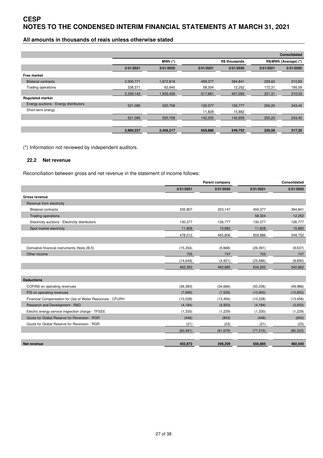# **All amounts in thousands of reais unless otherwise stated**

|                                       |           |             |           |                      |                       | <b>Consolidated</b> |
|---------------------------------------|-----------|-------------|-----------|----------------------|-----------------------|---------------------|
|                                       |           | $MWh$ $(*)$ |           | <b>R\$ thousands</b> | R\$/MWh (Average) (*) |                     |
|                                       | 3/31/2021 | 3/31/2020   | 3/31/2021 | 3/31/2020            | 3/31/2021             | 3/31/2020           |
| Free market                           |           |             |           |                      |                       |                     |
| <b>Bilateral contracts</b>            | 2.000.771 | 1.872.819   | 459,377   | 394.841              | 229,60                | 210,83              |
| Trading operations                    | 338,371   | 62,640      | 58,304    | 12,252               | 172,31                | 195,59              |
|                                       | 2,339,142 | 1,935,459   | 517,681   | 407,093              | 221,31                | 210,33              |
| <b>Regulated market</b>               |           |             |           |                      |                       |                     |
| Energy auctions - Energy distributors | 521,085   | 520,758     | 130,377   | 126,777              | 250.20                | 243,45              |
| Short-term energy                     |           |             | 11,828    | 15,882               |                       |                     |
|                                       | 521,085   | 520,758     | 142,205   | 142,659              | 250,20                | 243,45              |
|                                       |           |             |           |                      |                       |                     |
|                                       | 2,860,227 | 2,456,217   | 659,886   | 549,752              | 226,58                | 217,35              |

(\*) Information not reviewed by independent auditors.

#### **22.2 Net revenue**

Reconciliation between gross and net revenue in the statement of income follows:

|                                                           | Parent company |           |           | Consolidated |
|-----------------------------------------------------------|----------------|-----------|-----------|--------------|
|                                                           | 3/31/2021      | 3/31/2020 | 3/31/2021 | 3/31/2020    |
| <b>Gross revenue</b>                                      |                |           |           |              |
| Revenue from electricity                                  |                |           |           |              |
| <b>Bilateral contracts</b>                                | 335,807        | 323,147   | 459,377   | 394,841      |
| <b>Trading operations</b>                                 |                |           | 58,304    | 12,252       |
| Electricity auctions - Electricity distributors           | 130,377        | 126,777   | 130,377   | 126,777      |
| Spot market electricity                                   | 11,828         | 15,882    | 11,828    | 15,882       |
|                                                           | 478,012        | 465,806   | 659,886   | 549,752      |
|                                                           |                |           |           |              |
| Derivative financial instruments (Note 26.5)              | (15, 354)      | (5,668)   | (26, 391) | (9,637)      |
| Other income                                              | 705            | 747       | 705       | 747          |
|                                                           | (14, 649)      | (4,921)   | (25,686)  | (8,890)      |
|                                                           | 463,363        | 460,885   | 634,200   | 540,862      |
|                                                           |                |           |           |              |
| <b>Deductions</b>                                         |                |           |           |              |
| COFINS on operating revenues                              | (36, 383)      | (34, 666) | (50, 206) | (49, 986)    |
| PIS on operating revenues                                 | (7,899)        | (7,526)   | (10,900)  | (10, 852)    |
| Financial Compensation for Use of Water Resources - CFURH | (10, 228)      | (13, 456) | (10, 228) | (13, 456)    |
| Research and Development - R&D                            | (4, 184)       | (3,933)   | (4, 184)  | (3,933)      |
| Electric energy service inspection charge - TFSEE         | (1, 330)       | (1,229)   | (1,330)   | (1,229)      |
| Quota for Global Reserve for Reversion - RGR              | (446)          | (843)     | (446)     | (843)        |
| Quota for Global Reserve for Reversion - RGR              | (21)           | (23)      | (21)      | (23)         |
|                                                           | (60, 491)      | (61, 676) | (77, 315) | (80, 322)    |
| Net revenue                                               | 402.872        | 399.209   | 556.885   | 460.540      |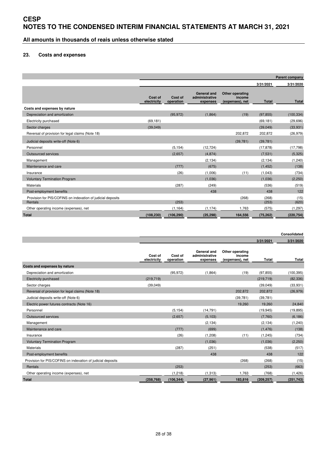**All amounts in thousands of reais unless otherwise stated** 

#### **23. Costs and expenses**

|                                                                        | <b>Parent company</b>  |                      |                                                  |                                              |                |               |  |  |
|------------------------------------------------------------------------|------------------------|----------------------|--------------------------------------------------|----------------------------------------------|----------------|---------------|--|--|
|                                                                        |                        |                      |                                                  |                                              | 3/31/2021      | 3/31/2020     |  |  |
|                                                                        | Cost of<br>electricity | Cost of<br>operation | <b>General and</b><br>administrative<br>expenses | Other operating<br>income<br>(expenses), net | <b>Total</b>   | <b>Total</b>  |  |  |
| Costs and expenses by nature                                           |                        |                      |                                                  |                                              |                |               |  |  |
| Depreciation and amortization                                          |                        | (95, 972)            | (1,864)                                          | (19)                                         | (97, 855)      | (100, 334)    |  |  |
| Electricity purchased                                                  | (69, 181)              |                      |                                                  |                                              | (69, 181)      | (29, 696)     |  |  |
| Sector charges                                                         | (39,049)               |                      |                                                  |                                              | (39,049)       | (33, 931)     |  |  |
| Reversal of provision for legal claims (Note 18)                       |                        |                      |                                                  | 202,872                                      | 202,872        | (26, 979)     |  |  |
| Judicial deposits write-off (Note 6)                                   |                        |                      |                                                  | (39, 781)                                    | (39, 781)      |               |  |  |
| Personnel                                                              |                        | (5, 154)             | (12, 724)                                        |                                              | (17, 878)      | (17, 798)     |  |  |
| Outsourced services                                                    |                        | (2,657)              | (4,874)                                          |                                              | (7,531)        | (5, 325)      |  |  |
| Management                                                             |                        |                      | (2, 134)                                         |                                              | (2, 134)       | (1, 240)      |  |  |
| Maintenance and care                                                   |                        | (777)                | (675)                                            |                                              | (1, 452)       | (138)         |  |  |
| Insurance                                                              |                        | (26)                 | (1,006)                                          | (11)                                         | (1,043)        | (734)         |  |  |
| <b>Voluntary Termination Program</b>                                   |                        |                      | (1,036)                                          |                                              | (1,036)        | (2,250)       |  |  |
| <b>Materials</b>                                                       |                        | (287)                | (249)                                            |                                              | (536)          | (519)         |  |  |
| Post-employment benefits                                               |                        |                      | 438                                              |                                              | 438            | 122           |  |  |
| Provision for PIS/COFINS on indexation of judicial deposits<br>Rentals |                        | (253)                |                                                  | (268)                                        | (268)<br>(253) | (15)<br>(620) |  |  |
| Other operating income (expenses), net                                 |                        | (1, 164)             | (1, 174)                                         | 1,763                                        | (575)          | (1, 297)      |  |  |
| <b>Total</b>                                                           | (108, 230)             | (106, 290)           | (25, 298)                                        | 164,556                                      | (75, 262)      | (220, 754)    |  |  |

#### **Consolidated**

|                                                             |                        |                      |                                           |                                              | 3/31/2021  | 3/31/2020    |
|-------------------------------------------------------------|------------------------|----------------------|-------------------------------------------|----------------------------------------------|------------|--------------|
|                                                             | Cost of<br>electricity | Cost of<br>operation | General and<br>administrative<br>expenses | Other operating<br>income<br>(expenses), net | Total      | <b>Total</b> |
| Costs and expenses by nature                                |                        |                      |                                           |                                              |            |              |
| Depreciation and amortization                               |                        | (95, 972)            | (1,864)                                   | (19)                                         | (97, 855)  | (100, 395)   |
| <b>Electricity purchased</b>                                | (219, 719)             |                      |                                           |                                              | (219, 719) | (82, 336)    |
| Sector charges                                              | (39,049)               |                      |                                           |                                              | (39,049)   | (33, 931)    |
| Reversal of provision for legal claims (Note 18)            |                        |                      |                                           | 202.872                                      | 202,872    | (26, 979)    |
| Judicial deposits write-off (Note 6)                        |                        |                      |                                           | (39, 781)                                    | (39, 781)  |              |
| Electric power futures contracts (Note 16)                  |                        |                      |                                           | 19,260                                       | 19.260     | 24.840       |
| Personnel                                                   |                        | (5, 154)             | (14, 791)                                 |                                              | (19, 945)  | (19, 895)    |
| <b>Outsourced services</b>                                  |                        | (2,657)              | (5, 103)                                  |                                              | (7,760)    | (6, 186)     |
| Management                                                  |                        |                      | (2, 134)                                  |                                              | (2, 134)   | (1, 240)     |
| Maintenance and care                                        |                        | (777)                | (699)                                     |                                              | (1, 476)   | (138)        |
| Insurance                                                   |                        | (26)                 | (1, 208)                                  | (11)                                         | (1, 245)   | (734)        |
| <b>Voluntary Termination Program</b>                        |                        |                      | (1,036)                                   |                                              | (1,036)    | (2, 250)     |
| Materials                                                   |                        | (287)                | (251)                                     |                                              | (538)      | (517)        |
| Post-employment benefits                                    |                        |                      | 438                                       |                                              | 438        | 122          |
| Provision for PIS/COFINS on indexation of judicial deposits |                        |                      |                                           | (268)                                        | (268)      | (15)         |
| Rentals                                                     |                        | (253)                |                                           |                                              | (253)      | (663)        |
| Other operating income (expenses), net                      |                        | (1, 218)             | (1, 313)                                  | 1.763                                        | (768)      | (1, 426)     |
| <b>Total</b>                                                | (258.768)              | (106, 344)           | (27, 961)                                 | 183,816                                      | (209, 257) | (251, 743)   |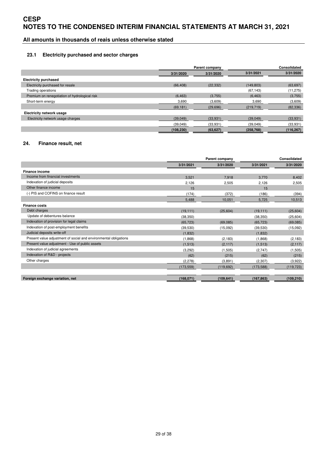# **All amounts in thousands of reais unless otherwise stated**

#### **23.1 Electricity purchased and sector charges**

|                                               | Parent company |           |            | <b>Consolidated</b> |  |
|-----------------------------------------------|----------------|-----------|------------|---------------------|--|
|                                               | 3/31/2020      | 3/31/2020 | 3/31/2021  | 3/31/2020           |  |
| <b>Electricity purchased</b>                  |                |           |            |                     |  |
| Electricity purchased for resale              | (66, 408)      | (22, 332) | (149, 803) | (63, 697)           |  |
| Trading operations                            |                |           | (67, 143)  | (11, 275)           |  |
| Premium on renegotiation of hydrological risk | (6, 463)       | (3,755)   | (6, 463)   | (3,755)             |  |
| Short-term energy                             | 3,690          | (3,609)   | 3,690      | (3,609)             |  |
|                                               | (69, 181)      | (29,696)  | (219, 719) | (82, 336)           |  |
| <b>Electricity network usage</b>              |                |           |            |                     |  |
| Electricity network usage charges             | (39,049)       | (33, 931) | (39,049)   | (33,931)            |  |
|                                               | (39,049)       | (33,931)  | (39,049)   | (33,931)            |  |
|                                               | (108, 230)     | (63, 627) | (258, 768) | (116, 267)          |  |

#### **24. Finance result, net**

|                                                                  | Parent company |            |            | <b>Consolidated</b> |
|------------------------------------------------------------------|----------------|------------|------------|---------------------|
|                                                                  | 3/31/2021      | 3/31/2020  | 3/31/2021  | 3/31/2020           |
| <b>Finance income</b>                                            |                |            |            |                     |
| Income from financial investments                                | 3,521          | 7.918      | 3.770      | 8,402               |
| Indexation of judicial deposits                                  | 2,126          | 2,505      | 2,126      | 2,505               |
| Other finance income                                             | 15             |            | 15         |                     |
| (-) PIS and COFINS on finance result                             | (174)          | (372)      | (186)      | (394)               |
|                                                                  | 5,488          | 10,051     | 5,725      | 10,513              |
| <b>Finance costs</b>                                             |                |            |            |                     |
| Debt charges                                                     | (19, 111)      | (25,604)   | (19, 111)  | (25,604)            |
| Update of debentures balance                                     | (38, 350)      |            | (38, 350)  | (25,604)            |
| Indexation of provision for legal claims                         | (65, 723)      | (69,085)   | (65, 723)  | (69,085)            |
| Indexation of post-employment benefits                           | (39, 530)      | (15,092)   | (39, 530)  | (15,092)            |
| Judicial deposits write-off                                      | (1,832)        |            | (1,832)    |                     |
| Present value adjustment of social and environmental obligations | (1,868)        | (2, 183)   | (1,868)    | (2, 183)            |
| Present value adjustment - Use of public assets                  | (1, 513)       | (2, 117)   | (1, 513)   | (2, 117)            |
| Indexation of judicial agreements                                | (3,292)        | (1,505)    | (2,747)    | (1,505)             |
| Indexation of R&D - projects                                     | (62)           | (215)      | (62)       | (215)               |
| Other charges                                                    | (2, 278)       | (3,891)    | (2, 307)   | (3,922)             |
|                                                                  | (173, 559)     | (119, 692) | (173, 588) | (119, 723)          |
| Foreign exchange variation, net                                  | (168,071)      | (109, 641) | (167, 863) | (109, 210)          |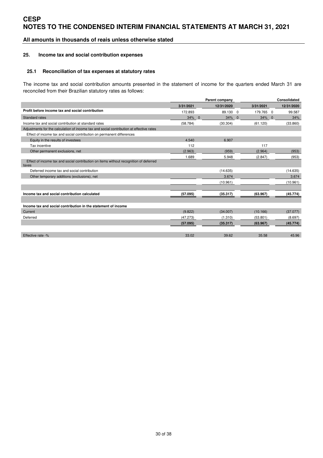### **All amounts in thousands of reais unless otherwise stated**

#### **25. Income tax and social contribution expenses**

#### **25.1 Reconciliation of tax expenses at statutory rates**

The income tax and social contribution amounts presented in the statement of income for the quarters ended March 31 are reconciled from their Brazilian statutory rates as follows:

|                                                                                                |           | Parent company     |                          |           | <b>Consolidated</b> |            |
|------------------------------------------------------------------------------------------------|-----------|--------------------|--------------------------|-----------|---------------------|------------|
|                                                                                                | 3/31/2021 | 12/31/2020         |                          | 3/31/2021 |                     | 12/31/2020 |
| Profit before income tax and social contribution                                               | 172.893   | 89.130 0           |                          | 179.765 0 |                     | 99.587     |
| <b>Standard rates</b>                                                                          | 34%       | 34%<br>$\mathbf 0$ | $\overline{\phantom{0}}$ | 34%       | $\mathbf 0$         | 34%        |
| Income tax and social contribution at standard rates                                           | (58.784)  | (30.304)           |                          | (61.120)  |                     | (33.860)   |
| Adjustments for the calculation of income tax and social contribution at effective rates       |           |                    |                          |           |                     |            |
| Effect of income tax and social contribution on permanent differences                          |           |                    |                          |           |                     |            |
| Equity in the results of investees                                                             | 4.540     | 6.907              |                          |           |                     |            |
| Tax incentive                                                                                  | 112       |                    |                          | 117       |                     |            |
| Other permanent exclusions, net                                                                | (2.963)   | (959)              |                          | (2.964)   |                     | (953)      |
|                                                                                                | 1.689     | 5.948              |                          | (2.847)   |                     | (953)      |
| Effect of income tax and social contribution on items without recognition of deferred<br>taxes |           |                    |                          |           |                     |            |
| Deferred income tax and social contribution                                                    |           | (14.635)           |                          |           |                     | (14.635)   |
| Other temporary additions (exclusions), net                                                    |           | 3.674              |                          |           |                     | 3.674      |
|                                                                                                |           | (10.961)           |                          |           |                     | (10.961)   |
|                                                                                                |           |                    |                          |           |                     |            |
| Income tax and social contribution calculated                                                  | (57.095)  | (35.317)           |                          | (63.967)  |                     | (45.774)   |
|                                                                                                |           |                    |                          |           |                     |            |
| Income tax and social contribution in the statement of income                                  |           |                    |                          |           |                     |            |
| Current                                                                                        | (9.822)   | (34.007)           |                          | (10.166)  |                     | (37.077)   |
| Deferred                                                                                       | (47.273)  | (1.310)            |                          | (53.801)  |                     | (8.697)    |
|                                                                                                | (57.095)  | (35.317)           |                          | (63.967)  |                     | (45.774)   |
|                                                                                                |           |                    |                          |           |                     |            |
| Effective rate -%                                                                              | 33.02     | 39.62              |                          | 35.58     |                     | 45.96      |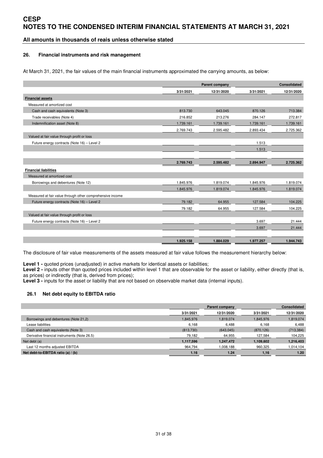### **All amounts in thousands of reais unless otherwise stated**

#### **26. Financial instruments and risk management**

At March 31, 2021, the fair values of the main financial instruments approximated the carrying amounts, as below:

|                                                           |           | Parent company |           | <b>Consolidated</b> |
|-----------------------------------------------------------|-----------|----------------|-----------|---------------------|
|                                                           | 3/31/2021 | 12/31/2020     | 3/31/2021 | 12/31/2020          |
| <b>Financial assets</b>                                   |           |                |           |                     |
| Measured at amortized cost                                |           |                |           |                     |
| Cash and cash equivalents (Note 3)                        | 813.730   | 643.045        | 870.126   | 713.384             |
| Trade receivables (Note 4)                                | 216.852   | 213.276        | 284.147   | 272.817             |
| Indemnification asset (Note 8)                            | 1.739.161 | 1.739.161      | 1.739.161 | 1.739.161           |
|                                                           | 2.769.743 | 2.595.482      | 2.893.434 | 2.725.362           |
| Valued at fair value through profit or loss               |           |                |           |                     |
| Future energy contracts (Note 16) - Level 2               |           |                | 1.513     |                     |
|                                                           |           |                | 1.513     |                     |
|                                                           |           |                |           |                     |
|                                                           | 2.769.743 | 2.595.482      | 2.894.947 | 2.725.362           |
| <b>Financial liabilities</b>                              |           |                |           |                     |
| Measured at amortized cost                                |           |                |           |                     |
| Borrowings and debentures (Note 12)                       | 1.845.976 | 1.819.074      | 1.845.976 | 1.819.074           |
|                                                           | 1.845.976 | 1.819.074      | 1.845.976 | 1.819.074           |
| Measured at fair value through other comprehensive income |           |                |           |                     |
| Future energy contracts (Note 16) - Level 2               | 79.182    | 64.955         | 127.584   | 104.225             |
|                                                           | 79.182    | 64.955         | 127.584   | 104.225             |
| Valued at fair value through profit or loss               |           |                |           |                     |
| Future energy contracts (Note 16) - Level 2               |           |                | 3.697     | 21.444              |
|                                                           |           |                | 3.697     | 21.444              |
|                                                           |           |                |           |                     |
|                                                           | 1.925.158 | 1.884.029      | 1.977.257 | 1.944.743           |

The disclosure of fair value measurements of the assets measured at fair value follows the measurement hierarchy below:

Level 1 - quoted prices (unadjusted) in active markets for identical assets or liabilities;

Level 2 - inputs other than quoted prices included within level 1 that are observable for the asset or liability, either directly (that is, as prices) or indirectly (that is, derived from prices);

**Level 3 -** inputs for the asset or liability that are not based on observable market data (internal inputs).

#### **26.1 Net debt equity to EBITDA ratio**

|                                              |           | <b>Consolidated</b> |            |            |
|----------------------------------------------|-----------|---------------------|------------|------------|
|                                              | 3/31/2021 | 12/31/2020          | 3/31/2021  | 12/31/2020 |
| Borrowings and debentures (Note 21,2)        | 1,845,976 | 1.819.074           | 1,845,976  | 1,819,074  |
| Lease liabilities                            | 6.168     | 6.488               | 6.168      | 6,488      |
| Cash and cash equivalents (Note 3)           | (813,730) | (643, 045)          | (870, 126) | (713, 384) |
| Derivative financial instruments (Note 26.5) | 79,182    | 64,955              | 127,584    | 104,225    |
| Net debt (a)                                 | 1,117,596 | 1,247,472           | 1,109,602  | 1,216,403  |
| Last 12 months adjusted EBITDA               | 964,794   | 008,188.ا           | 960,325    | 1,014,104  |
| Net debt-to-EBITDA ratio (a) $/$ (b)         | 1.16      | 1.24                | 1.16       | 1.20       |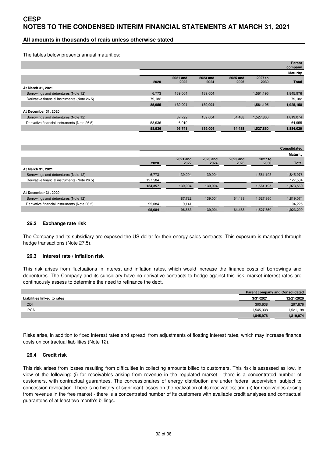### **All amounts in thousands of reais unless otherwise stated**

The tables below presents annual maturities:

|                                              |        |                  |                  |                  |                 | <b>Parent</b><br>company |
|----------------------------------------------|--------|------------------|------------------|------------------|-----------------|--------------------------|
|                                              |        |                  |                  |                  |                 | <b>Maturity</b>          |
|                                              | 2020   | 2021 and<br>2022 | 2023 and<br>2024 | 2025 and<br>2026 | 2027 to<br>2030 | <b>Total</b>             |
| At March 31, 2021                            |        |                  |                  |                  |                 |                          |
| Borrowings and debentures (Note 12)          | 6,773  | 139,004          | 139,004          |                  | 1,561,195       | 1,845,976                |
| Derivative financial instruments (Note 26.5) | 79,182 |                  |                  |                  |                 | 79,182                   |
|                                              | 85,955 | 139,004          | 139,004          |                  | 1,561,195       | 1,925,158                |
| At December 31, 2020                         |        |                  |                  |                  |                 |                          |
| Borrowings and debentures (Note 12)          |        | 87.722           | 139.004          | 64.488           | 1.527.860       | 1,819,074                |
| Derivative financial instruments (Note 26.5) | 58,936 | 6,019            |                  |                  |                 | 64,955                   |
|                                              | 58,936 | 93,741           | 139,004          | 64,488           | 1,527,860       | 1,884,029                |

|                                              |         |                  |                  |                  |                 | <b>Consolidated</b> |
|----------------------------------------------|---------|------------------|------------------|------------------|-----------------|---------------------|
|                                              |         |                  |                  |                  |                 | <b>Maturity</b>     |
|                                              | 2020    | 2021 and<br>2022 | 2023 and<br>2024 | 2025 and<br>2026 | 2027 to<br>2030 | <b>Total</b>        |
| At March 31, 2021                            |         |                  |                  |                  |                 |                     |
| Borrowings and debentures (Note 12)          | 6,773   | 139.004          | 139,004          |                  | 1,561,195       | 1,845,976           |
| Derivative financial instruments (Note 26.5) | 127,584 |                  |                  |                  |                 | 127,584             |
|                                              | 134,357 | 139.004          | 139,004          |                  | 1,561,195       | 1,973,560           |
| At December 31, 2020                         |         |                  |                  |                  |                 |                     |
| Borrowings and debentures (Note 12)          |         | 87.722           | 139.004          | 64.488           | 1.527.860       | 1,819,074           |
| Derivative financial instruments (Note 26.5) | 95,084  | 9,141            |                  |                  |                 | 104,225             |
|                                              | 95,084  | 96,863           | 139,004          | 64,488           | 1,527,860       | 1,923,299           |

#### **26.2 Exchange rate risk**

The Company and its subsidiary are exposed the US dollar for their energy sales contracts. This exposure is managed through hedge transactions (Note 27.5).

#### **26.3 Interest rate / inflation risk**

This risk arises from fluctuations in interest and inflation rates, which would increase the finance costs of borrowings and debentures. The Company and its subsidiary have no derivative contracts to hedge against this risk, market interest rates are continuously assess to determine the need to refinance the debt.

|                             |           | <b>Parent company and Consolidated</b> |  |  |  |
|-----------------------------|-----------|----------------------------------------|--|--|--|
| Liabilities linked to rates | 3/31/2021 | 12/21/2020                             |  |  |  |
| <b>CDI</b>                  | 300.638   | 297,876                                |  |  |  |
| <b>IPCA</b>                 | .545.338  | ,521,198                               |  |  |  |
|                             | .845.976  | .819.074                               |  |  |  |

Risks arise, in addition to fixed interest rates and spread, from adjustments of floating interest rates, which may increase finance costs on contractual liabilities (Note 12).

#### **26.4 Credit risk**

This risk arises from losses resulting from difficulties in collecting amounts billed to customers. This risk is assessed as low, in view of the following: (i) for receivables arising from revenue in the regulated market - there is a concentrated number of customers, with contractual guarantees. The concessionaires of energy distribution are under federal supervision, subject to concession revocation. There is no history of significant losses on the realization of its receivables; and (ii) for receivables arising from revenue in the free market - there is a concentrated number of its customers with available credit analyses and contractual guarantees of at least two month's billings.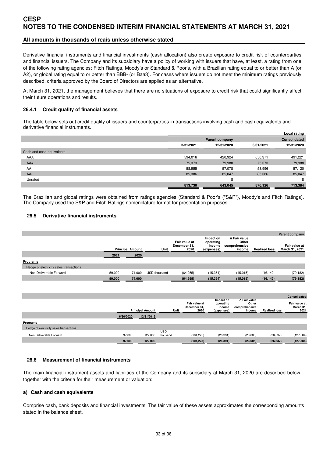### **All amounts in thousands of reais unless otherwise stated**

Derivative financial instruments and financial investments (cash allocation) also create exposure to credit risk of counterparties and financial issuers. The Company and its subsidiary have a policy of working with issuers that have, at least, a rating from one of the following rating agencies: Fitch Ratings, Moody's or Standard & Poor's, with a Brazilian rating equal to or better than A (or A2), or global rating equal to or better than BBB- (or Baa3). For cases where issuers do not meet the minimum ratings previously described, criteria approved by the Board of Directors are applied as an alternative.

At March 31, 2021, the management believes that there are no situations of exposure to credit risk that could significantly affect their future operations and results.

#### **26.4.1 Credit quality of financial assets**

The table below sets out credit quality of issuers and counterparties in transactions involving cash and cash equivalents and derivative financial instruments.

|                           |                         |                       |              | Local rating |  |
|---------------------------|-------------------------|-----------------------|--------------|--------------|--|
|                           |                         | <b>Parent company</b> | Consolidated |              |  |
|                           | 12/31/2020<br>3/31/2021 |                       | 3/31/2021    | 12/31/2020   |  |
| Cash and cash equivalents |                         |                       |              |              |  |
| AAA                       | 594,016                 | 420,924               | 650,371      | 491,221      |  |
| $AA+$                     | 75,373                  | 79,988                | 75,373       | 79,988       |  |
| AA                        | 58,955                  | 57,078                | 58,996       | 57,120       |  |
| $AA-$                     | 85,386                  | 85,047                | 85,386       | 85,047       |  |
| Unrated                   |                         | R                     |              | 8            |  |
|                           | 813,730                 | 643,045               | 870,126      | 713,384      |  |

The Brazilian and global ratings were obtained from ratings agencies (Standard & Poor's ("S&P"), Moody's and Fitch Ratings). The Company used the S&P and Fitch Ratings nomenclature format for presentation purposes.

#### **26.5 Derivative financial instruments**

|                                         | ∆ Fair value<br>Impact on<br>Fair value at<br>Other<br>operating |                         |                                   |      |                                       |                                   |                         |                               | Parent company                     |
|-----------------------------------------|------------------------------------------------------------------|-------------------------|-----------------------------------|------|---------------------------------------|-----------------------------------|-------------------------|-------------------------------|------------------------------------|
|                                         | <b>Principal Amount</b>                                          |                         | Unit                              |      | December 31,<br>2020                  | income<br>(expenses)              | comprehensive<br>income | <b>Realized loss</b>          | Fair value at<br>March 31, 2021    |
|                                         | 2021                                                             | 2020                    |                                   |      |                                       |                                   |                         |                               |                                    |
| Programs                                |                                                                  |                         |                                   |      |                                       |                                   |                         |                               |                                    |
| Hedge of electricity sales transactions |                                                                  |                         |                                   |      |                                       |                                   |                         |                               |                                    |
| Non Deliverable Forward                 | 59,000                                                           | 74,000                  | USD thousand                      |      | (64, 955)                             | (15, 354)                         | (15, 015)               | (16, 142)                     | (79, 182)                          |
|                                         | 59,000                                                           | 74,000                  |                                   |      | (64, 955)                             | (15, 354)                         | (15, 015)               | (16, 142)                     | (79, 182)                          |
|                                         |                                                                  |                         |                                   |      |                                       | Impact on                         | ∆ Fair value            |                               | Consolidated                       |
|                                         |                                                                  | <b>Principal Amount</b> |                                   | Unit | Fair value at<br>December 31,<br>2020 | operating<br>income<br>(expenses) | comprehensive<br>income | Other<br><b>Realized loss</b> | Fair value at<br>March 31,<br>2021 |
|                                         |                                                                  | 6/30/2020               | 12/31/2019                        |      |                                       |                                   |                         |                               |                                    |
| Programs                                |                                                                  |                         |                                   |      |                                       |                                   |                         |                               |                                    |
| Hedge of electricity sales transactions |                                                                  |                         |                                   |      |                                       |                                   |                         |                               |                                    |
| Non Deliverable Forward                 |                                                                  | 97,000                  | <b>USD</b><br>122,000<br>thousand |      | (104, 225)                            | (26, 391)                         | (23,605)                | (26, 637)                     | (127, 584)                         |
|                                         |                                                                  | 97,000                  | 122,000                           |      | (104, 225)                            | (26, 391)                         | (23, 605)               | (26, 637)                     | (127, 584)                         |

#### **26.6 Measurement of financial instruments**

The main financial instrument assets and liabilities of the Company and its subsidiary at March 31, 2020 are described below, together with the criteria for their measurement or valuation:

#### **a) Cash and cash equivalents**

Comprise cash, bank deposits and financial investments. The fair value of these assets approximates the corresponding amounts stated in the balance sheet.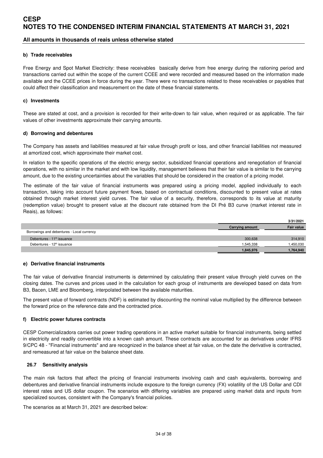### **All amounts in thousands of reais unless otherwise stated**

#### **b) Trade receivables**

Free Energy and Spot Market Electricity: these receivables basically derive from free energy during the rationing period and transactions carried out within the scope of the current CCEE and were recorded and measured based on the information made available and the CCEE prices in force during the year. There were no transactions related to these receivables or payables that could affect their classification and measurement on the date of these financial statements.

#### **c) Investments**

These are stated at cost, and a provision is recorded for their write-down to fair value, when required or as applicable. The fair values of other investments approximate their carrying amounts.

#### **d) Borrowing and debentures**

The Company has assets and liabilities measured at fair value through profit or loss, and other financial liabilities not measured at amortized cost, which approximate their market cost.

In relation to the specific operations of the electric energy sector, subsidized financial operations and renegotiation of financial operations, with no similar in the market and with low liquidity, management believes that their fair value is similar to the carrying amount, due to the existing uncertainties about the variables that should be considered in the creation of a pricing model.

The estimate of the fair value of financial instruments was prepared using a pricing model, applied individually to each transaction, taking into account future payment flows, based on contractual conditions, discounted to present value at rates obtained through market interest yield curves. The fair value of a security, therefore, corresponds to its value at maturity (redemption value) brought to present value at the discount rate obtained from the DI Pré B3 curve (market interest rate in Reais), as follows:

|                                            |                 | 3/31/2021         |
|--------------------------------------------|-----------------|-------------------|
|                                            | Carrying amount | <b>Fair value</b> |
| Borrowings and debentures - Local currency |                 |                   |
| Debentures - 11 <sup>th</sup> issuance     | 300.638         | 314,910           |
| Debentures - 12 <sup>th</sup> issuance     | 1.545.338       | .450.030          |
|                                            | 1,845,976       | 1,764,940         |

#### **e) Derivative financial instruments**

The fair value of derivative financial instruments is determined by calculating their present value through yield curves on the closing dates. The curves and prices used in the calculation for each group of instruments are developed based on data from B3, Bacen, LME and Bloomberg, interpolated between the available maturities.

The present value of forward contracts (NDF) is estimated by discounting the nominal value multiplied by the difference between the forward price on the reference date and the contracted price.

#### **f) Electric power futures contracts**

CESP Comercializadora carries out power trading operations in an active market suitable for financial instruments, being settled in electricity and readily convertible into a known cash amount. These contracts are accounted for as derivatives under IFRS 9/CPC 48 - "Financial instruments" and are recognized in the balance sheet at fair value, on the date the derivative is contracted, and remeasured at fair value on the balance sheet date.

#### **26.7 Sensitivity analysis**

The main risk factors that affect the pricing of financial instruments involving cash and cash equivalents, borrowing and debentures and derivative financial instruments include exposure to the foreign currency (FX) volatility of the US Dollar and CDI interest rates and US dollar coupon. The scenarios with differing variables are prepared using market data and inputs from specialized sources, consistent with the Company's financial policies.

The scenarios as at March 31, 2021 are described below: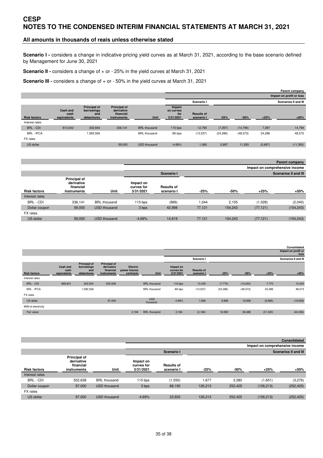### **All amounts in thousands of reais unless otherwise stated**

**Scenario I -** considers a change in indicative pricing yield curves as at March 31, 2021, according to the base scenario defined by Management for June 30, 2021

**Scenario II -** considers a change of + or - 25% in the yield curves at March 31, 2021

**Scenario III -** considers a change of + or - 50% in the yield curves at March 31, 2021

|                     |                                        |                                                        |                                                               |                     |                                         |                                 |           | Parent company           |         |                             |  |  |
|---------------------|----------------------------------------|--------------------------------------------------------|---------------------------------------------------------------|---------------------|-----------------------------------------|---------------------------------|-----------|--------------------------|---------|-----------------------------|--|--|
|                     |                                        |                                                        |                                                               |                     |                                         |                                 |           | Impact on profit or loss |         |                             |  |  |
|                     |                                        |                                                        |                                                               |                     |                                         | Scenario I                      |           |                          |         | <b>Scenarios II and III</b> |  |  |
| <b>Risk factors</b> | <b>Cash and</b><br>cash<br>equivalents | <b>Principal of</b><br>borrowings<br>and<br>debentures | <b>Principal of</b><br>derivative<br>financial<br>instruments | Unit                | Impact<br>on curves<br>for<br>3/31/2021 | <b>Results of</b><br>scenario I | $-25%$    | $-50%$                   | $+25%$  | $+50%$                      |  |  |
| Interest rates      |                                        |                                                        |                                                               |                     |                                         |                                 |           |                          |         |                             |  |  |
| <b>BRL - CDI</b>    | 813.542                                | 302,934                                                | 336,141                                                       | <b>BRL</b> thousand | $115$ bps                               | 12,790                          | (7, 397)  | (14, 794)                | 7,397   | 14,794                      |  |  |
| <b>BRL - IPCA</b>   |                                        | 1,592,556                                              |                                                               | <b>BRL</b> thousand | $-85$ bps                               | (13,537)                        | (24, 286) | (48, 573)                | 24,286  | 48,573                      |  |  |
| FX rates            |                                        |                                                        |                                                               |                     |                                         |                                 |           |                          |         |                             |  |  |
| US dollar           |                                        |                                                        | 59,000                                                        | <b>USD</b> thousand | $-4.69%$                                | 1,080                           | 5,697     | 11,393                   | (5,697) | (11, 393)                   |  |  |

|                     |                                                        |                     | Parent company                       |                                 |        |         |           |                                |  |  |
|---------------------|--------------------------------------------------------|---------------------|--------------------------------------|---------------------------------|--------|---------|-----------|--------------------------------|--|--|
|                     |                                                        |                     |                                      |                                 |        |         |           | Impact on comprehensive income |  |  |
|                     |                                                        |                     |                                      | Scenario I                      |        |         |           | <b>Scenarios II and III</b>    |  |  |
| <b>Risk factors</b> | Principal of<br>derivative<br>financial<br>instruments | Unit                | Impact on<br>curves for<br>3/31/2021 | <b>Results of</b><br>scenario I | $-25%$ | -50%    | $+25%$    | $+50%$                         |  |  |
| Interest rates      |                                                        |                     |                                      |                                 |        |         |           |                                |  |  |
| <b>BRL - CDI</b>    | 336,141                                                | <b>BRL</b> thousand | $115$ bps                            | (969)                           | 1.044  | 2.105   | (1,028)   | (2,040)                        |  |  |
| Dollar coupon       | 59,000                                                 | <b>USD</b> thousand | 3 bps                                | 42.998                          | 77.121 | 154,243 | (77, 121) | (154, 243)                     |  |  |
| FX rates            |                                                        |                     |                                      |                                 |        |         |           |                                |  |  |
| US dollar           | 59,000                                                 | <b>USD</b> thousand | $-4.69%$                             | 14.619                          | 77.121 | 154,243 | (77, 121) | (154, 243)                     |  |  |

|                     |                                 |                                                        |                                                               |                                               |                        |                                      |                                 |           |           |           | Consolidated                |
|---------------------|---------------------------------|--------------------------------------------------------|---------------------------------------------------------------|-----------------------------------------------|------------------------|--------------------------------------|---------------------------------|-----------|-----------|-----------|-----------------------------|
|                     |                                 |                                                        |                                                               |                                               |                        |                                      |                                 |           |           |           | Impact on profit or<br>loss |
|                     |                                 |                                                        |                                                               |                                               |                        |                                      | Scenario I                      |           |           |           | <b>Scenarios II and III</b> |
| <b>Risk factors</b> | Cash and<br>cash<br>equivalents | <b>Principal of</b><br>borrowings<br>and<br>debentures | <b>Principal of</b><br>derivative<br>financial<br>instruments | <b>Electric</b><br>power futures<br>contracts | Unit                   | Impact on<br>curves for<br>3/31/2021 | <b>Results of</b><br>scenario I | $-25%$    | $-50%$    | $+25%$    | $+50%$                      |
| Interest rates      |                                 |                                                        |                                                               |                                               |                        |                                      |                                 |           |           |           |                             |
| BRL - CDI           | 869,831                         | 302,934                                                | 552,638                                                       |                                               | <b>BRL</b> thousand    | $115$ bps                            | 13,435                          | (7,770)   | (15, 540) | 7,770     | 15,540                      |
| <b>BRL - IPCA</b>   |                                 | 1,592,556                                              |                                                               |                                               | <b>BRL</b> thousand    | $-85$ bps                            | (13,537)                        | (24, 286) | (48, 573) | 24,286    | 48,573                      |
| FX rates            |                                 |                                                        |                                                               |                                               |                        |                                      |                                 |           |           |           |                             |
| US dollar           |                                 |                                                        | 97,000                                                        |                                               | <b>USD</b><br>thousand | $-4.69%$                             | 1,890                           | 9,969     | 19,938    | (9,969)   | (19, 938)                   |
| MtM of electricity  |                                 |                                                        |                                                               |                                               |                        |                                      |                                 |           |           |           |                             |
| Fair value          |                                 |                                                        |                                                               | 2,184                                         | <b>BRL</b> thousand    | 2,184                                | (2, 184)                        | 16,952    | 36,088    | (21, 320) | (40, 456)                   |

|                     |                                                        | <b>Consolidated</b> |                                      |                                 |         |         |                             |            |  |  |
|---------------------|--------------------------------------------------------|---------------------|--------------------------------------|---------------------------------|---------|---------|-----------------------------|------------|--|--|
|                     |                                                        |                     | Impact on comprehensive income       |                                 |         |         |                             |            |  |  |
|                     |                                                        |                     |                                      | Scenario I                      |         |         | <b>Scenarios II and III</b> |            |  |  |
| <b>Risk factors</b> | Principal of<br>derivative<br>financial<br>instruments | Unit                | Impact on<br>curves for<br>3/31/2021 | <b>Results of</b><br>scenario I | $-25%$  | -50%    | $+25%$                      | +50%       |  |  |
| Interest rates      |                                                        |                     |                                      |                                 |         |         |                             |            |  |  |
| BRL - CDI           | 552,638                                                | <b>BRL</b> thousand | $115$ bps                            | (1,550)                         | 1.677   | 3.380   | (1,651)                     | (3,276)    |  |  |
| Dollar coupon       | 97,000                                                 | <b>USD</b> thousand | 3 bps                                | 68,190                          | 126,213 | 252,425 | (126, 213)                  | (252, 425) |  |  |
| FX rates            |                                                        |                     |                                      |                                 |         |         |                             |            |  |  |
| US dollar           | 97,000                                                 | USD thousand        | $-4.69%$                             | 23.925                          | 126.213 | 252.425 | (126, 213)                  | (252, 425) |  |  |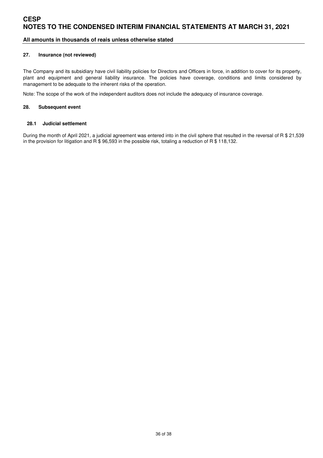### **All amounts in thousands of reais unless otherwise stated**

#### **27. Insurance (not reviewed)**

The Company and its subsidiary have civil liability policies for Directors and Officers in force, in addition to cover for its property, plant and equipment and general liability insurance. The policies have coverage, conditions and limits considered by management to be adequate to the inherent risks of the operation.

Note: The scope of the work of the independent auditors does not include the adequacy of insurance coverage.

#### **28. Subsequent event**

#### **28.1 Judicial settlement**

During the month of April 2021, a judicial agreement was entered into in the civil sphere that resulted in the reversal of R \$ 21,539 in the provision for litigation and  $\overline{R}$  \$ 96,593 in the possible risk, totaling a reduction of  $\overline{R}$  \$ 118,132.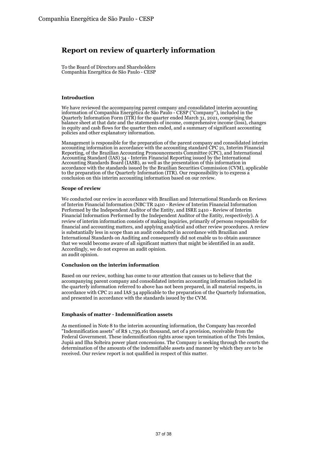# **Report on review of quarterly information**

To the Board of Directors and Shareholders Companhia Energética de São Paulo - CESP

#### **Introduction**

We have reviewed the accompanying parent company and consolidated interim accounting information of Companhia Energética de São Paulo - CESP ("Company"), included in the Quarterly Information Form (ITR) for the quarter ended March 31, 2021, comprising the balance sheet at that date and the statements of income, comprehensive income (loss), changes in equity and cash flows for the quarter then ended, and a summary of significant accounting policies and other explanatory information.

Management is responsible for the preparation of the parent company and consolidated interim accounting information in accordance with the accounting standard CPC 21, Interim Financial Reporting, of the Brazilian Accounting Pronouncements Committee (CPC), and International Accounting Standard (IAS) 34 - Interim Financial Reporting issued by the International Accounting Standards Board (IASB), as well as the presentation of this information in accordance with the standards issued by the Brazilian Securities Commission (CVM), applicable to the preparation of the Quarterly Information (ITR). Our responsibility is to express a conclusion on this interim accounting information based on our review.

#### **Scope of review**

We conducted our review in accordance with Brazilian and International Standards on Reviews of Interim Financial Information (NBC TR 2410 - Review of Interim Financial Information Performed by the Independent Auditor of the Entity, and ISRE 2410 - Review of Interim Financial Information Performed by the Independent Auditor of the Entity, respectively). A review of interim information consists of making inquiries, primarily of persons responsible for financial and accounting matters, and applying analytical and other review procedures. A review is substantially less in scope than an audit conducted in accordance with Brazilian and International Standards on Auditing and consequently did not enable us to obtain assurance that we would become aware of all significant matters that might be identified in an audit. Accordingly, we do not express an audit opinion. an audit opinion.

#### **Conclusion on the interim information**

Based on our review, nothing has come to our attention that causes us to believe that the accompanying parent company and consolidated interim accounting information included in the quarterly information referred to above has not been prepared, in all material respects, in accordance with CPC 21 and IAS 34 applicable to the preparation of the Quarterly Information, and presented in accordance with the standards issued by the CVM.

#### **Emphasis of matter - Indemnification assets**

As mentioned in Note 8 to the interim accounting information, the Company has recorded "Indemnification assets" of R\$ 1,739,161 thousand, net of a provision, receivable from the Federal Government. These indemnification rights arose upon termination of the Três Irmãos, Jupiá and Ilha Solteira power plant concessions. The Company is seeking through the courts the determination of the amounts of the indemnifiable assets and manner by which they are to be received. Our review report is not qualified in respect of this matter.